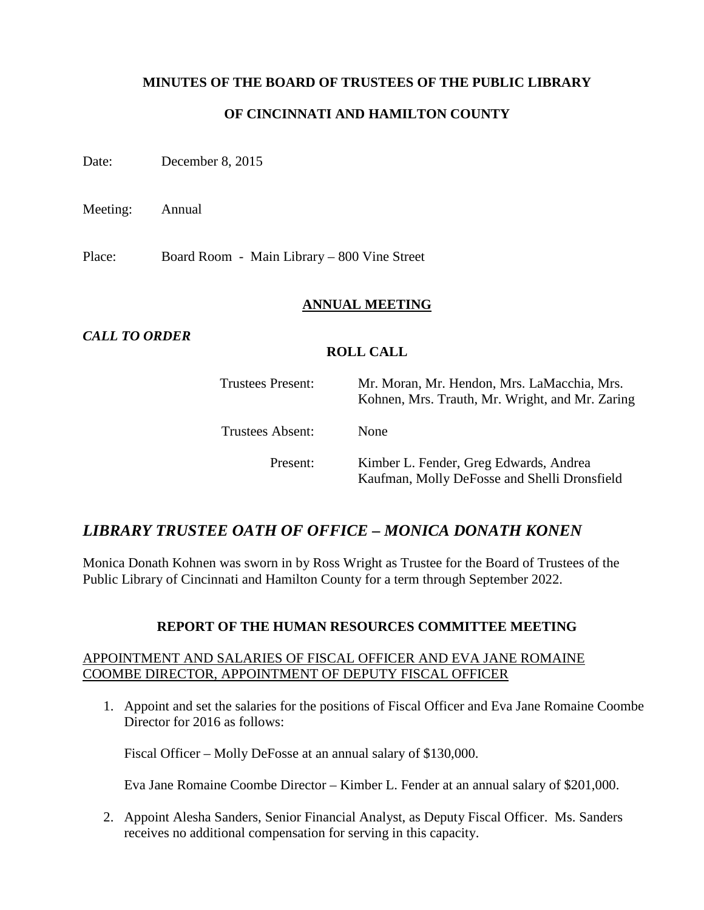### **MINUTES OF THE BOARD OF TRUSTEES OF THE PUBLIC LIBRARY**

## **OF CINCINNATI AND HAMILTON COUNTY**

Date: December 8, 2015

Meeting: Annual

Place: Board Room - Main Library – 800 Vine Street

### **ANNUAL MEETING**

### *CALL TO ORDER*

### **ROLL CALL**

| <b>Trustees Present:</b> | Mr. Moran, Mr. Hendon, Mrs. LaMacchia, Mrs.<br>Kohnen, Mrs. Trauth, Mr. Wright, and Mr. Zaring |
|--------------------------|------------------------------------------------------------------------------------------------|
| Trustees Absent:         | <b>None</b>                                                                                    |
| Present:                 | Kimber L. Fender, Greg Edwards, Andrea<br>Kaufman, Molly DeFosse and Shelli Dronsfield         |

## *LIBRARY TRUSTEE OATH OF OFFICE – MONICA DONATH KONEN*

Monica Donath Kohnen was sworn in by Ross Wright as Trustee for the Board of Trustees of the Public Library of Cincinnati and Hamilton County for a term through September 2022.

## **REPORT OF THE HUMAN RESOURCES COMMITTEE MEETING**

### APPOINTMENT AND SALARIES OF FISCAL OFFICER AND EVA JANE ROMAINE COOMBE DIRECTOR, APPOINTMENT OF DEPUTY FISCAL OFFICER

1. Appoint and set the salaries for the positions of Fiscal Officer and Eva Jane Romaine Coombe Director for 2016 as follows:

Fiscal Officer – Molly DeFosse at an annual salary of \$130,000.

Eva Jane Romaine Coombe Director – Kimber L. Fender at an annual salary of \$201,000.

2. Appoint Alesha Sanders, Senior Financial Analyst, as Deputy Fiscal Officer. Ms. Sanders receives no additional compensation for serving in this capacity.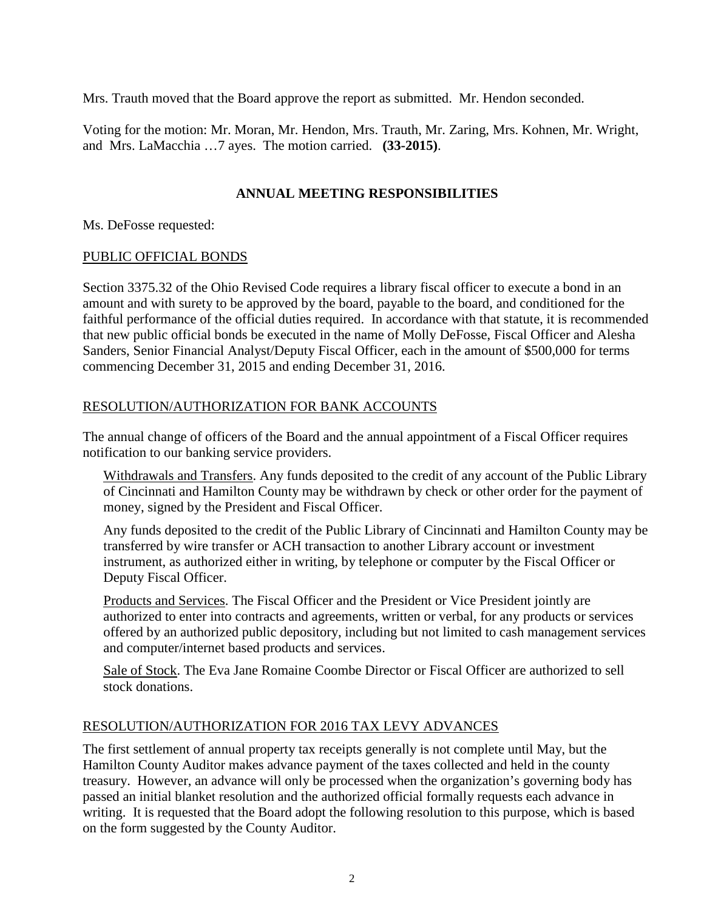Mrs. Trauth moved that the Board approve the report as submitted. Mr. Hendon seconded.

Voting for the motion: Mr. Moran, Mr. Hendon, Mrs. Trauth, Mr. Zaring, Mrs. Kohnen, Mr. Wright, and Mrs. LaMacchia …7 ayes. The motion carried. **(33-2015)**.

### **ANNUAL MEETING RESPONSIBILITIES**

Ms. DeFosse requested:

### PUBLIC OFFICIAL BONDS

Section 3375.32 of the Ohio Revised Code requires a library fiscal officer to execute a bond in an amount and with surety to be approved by the board, payable to the board, and conditioned for the faithful performance of the official duties required. In accordance with that statute, it is recommended that new public official bonds be executed in the name of Molly DeFosse, Fiscal Officer and Alesha Sanders, Senior Financial Analyst/Deputy Fiscal Officer, each in the amount of \$500,000 for terms commencing December 31, 2015 and ending December 31, 2016.

### RESOLUTION/AUTHORIZATION FOR BANK ACCOUNTS

The annual change of officers of the Board and the annual appointment of a Fiscal Officer requires notification to our banking service providers.

Withdrawals and Transfers. Any funds deposited to the credit of any account of the Public Library of Cincinnati and Hamilton County may be withdrawn by check or other order for the payment of money, signed by the President and Fiscal Officer.

Any funds deposited to the credit of the Public Library of Cincinnati and Hamilton County may be transferred by wire transfer or ACH transaction to another Library account or investment instrument, as authorized either in writing, by telephone or computer by the Fiscal Officer or Deputy Fiscal Officer.

Products and Services. The Fiscal Officer and the President or Vice President jointly are authorized to enter into contracts and agreements, written or verbal, for any products or services offered by an authorized public depository, including but not limited to cash management services and computer/internet based products and services.

Sale of Stock. The Eva Jane Romaine Coombe Director or Fiscal Officer are authorized to sell stock donations.

### RESOLUTION/AUTHORIZATION FOR 2016 TAX LEVY ADVANCES

The first settlement of annual property tax receipts generally is not complete until May, but the Hamilton County Auditor makes advance payment of the taxes collected and held in the county treasury. However, an advance will only be processed when the organization's governing body has passed an initial blanket resolution and the authorized official formally requests each advance in writing. It is requested that the Board adopt the following resolution to this purpose, which is based on the form suggested by the County Auditor.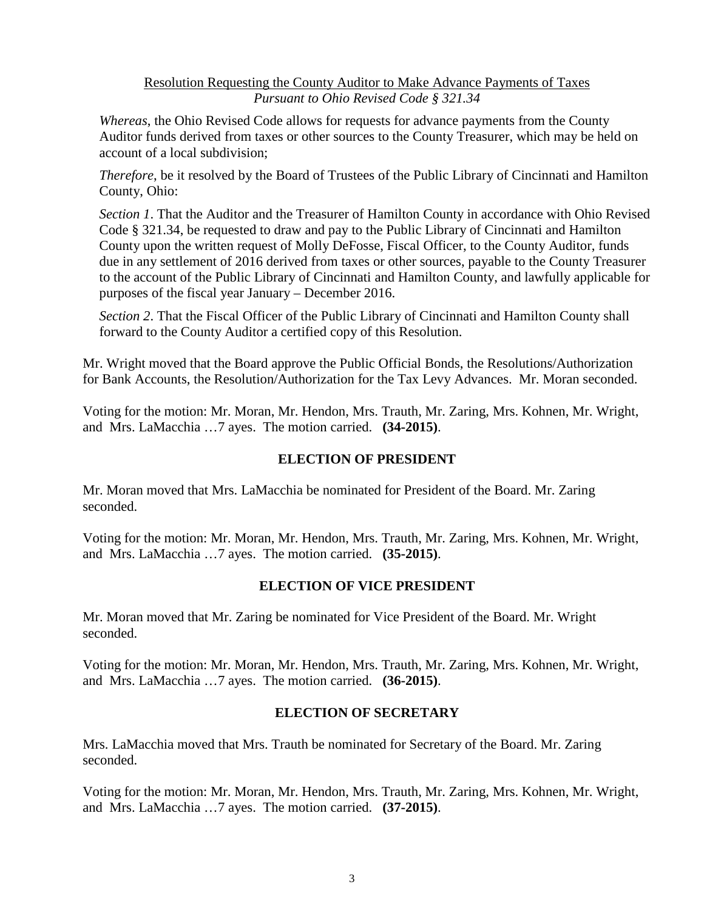Resolution Requesting the County Auditor to Make Advance Payments of Taxes *Pursuant to Ohio Revised Code § 321.34*

*Whereas*, the Ohio Revised Code allows for requests for advance payments from the County Auditor funds derived from taxes or other sources to the County Treasurer, which may be held on account of a local subdivision;

*Therefore*, be it resolved by the Board of Trustees of the Public Library of Cincinnati and Hamilton County, Ohio:

*Section 1*. That the Auditor and the Treasurer of Hamilton County in accordance with Ohio Revised Code § 321.34, be requested to draw and pay to the Public Library of Cincinnati and Hamilton County upon the written request of Molly DeFosse, Fiscal Officer, to the County Auditor, funds due in any settlement of 2016 derived from taxes or other sources, payable to the County Treasurer to the account of the Public Library of Cincinnati and Hamilton County, and lawfully applicable for purposes of the fiscal year January – December 2016.

*Section 2*. That the Fiscal Officer of the Public Library of Cincinnati and Hamilton County shall forward to the County Auditor a certified copy of this Resolution.

Mr. Wright moved that the Board approve the Public Official Bonds, the Resolutions/Authorization for Bank Accounts, the Resolution/Authorization for the Tax Levy Advances. Mr. Moran seconded.

Voting for the motion: Mr. Moran, Mr. Hendon, Mrs. Trauth, Mr. Zaring, Mrs. Kohnen, Mr. Wright, and Mrs. LaMacchia …7 ayes. The motion carried. **(34-2015)**.

### **ELECTION OF PRESIDENT**

Mr. Moran moved that Mrs. LaMacchia be nominated for President of the Board. Mr. Zaring seconded.

Voting for the motion: Mr. Moran, Mr. Hendon, Mrs. Trauth, Mr. Zaring, Mrs. Kohnen, Mr. Wright, and Mrs. LaMacchia …7 ayes. The motion carried. **(35-2015)**.

## **ELECTION OF VICE PRESIDENT**

Mr. Moran moved that Mr. Zaring be nominated for Vice President of the Board. Mr. Wright seconded.

Voting for the motion: Mr. Moran, Mr. Hendon, Mrs. Trauth, Mr. Zaring, Mrs. Kohnen, Mr. Wright, and Mrs. LaMacchia …7 ayes. The motion carried. **(36-2015)**.

## **ELECTION OF SECRETARY**

Mrs. LaMacchia moved that Mrs. Trauth be nominated for Secretary of the Board. Mr. Zaring seconded.

Voting for the motion: Mr. Moran, Mr. Hendon, Mrs. Trauth, Mr. Zaring, Mrs. Kohnen, Mr. Wright, and Mrs. LaMacchia …7 ayes. The motion carried. **(37-2015)**.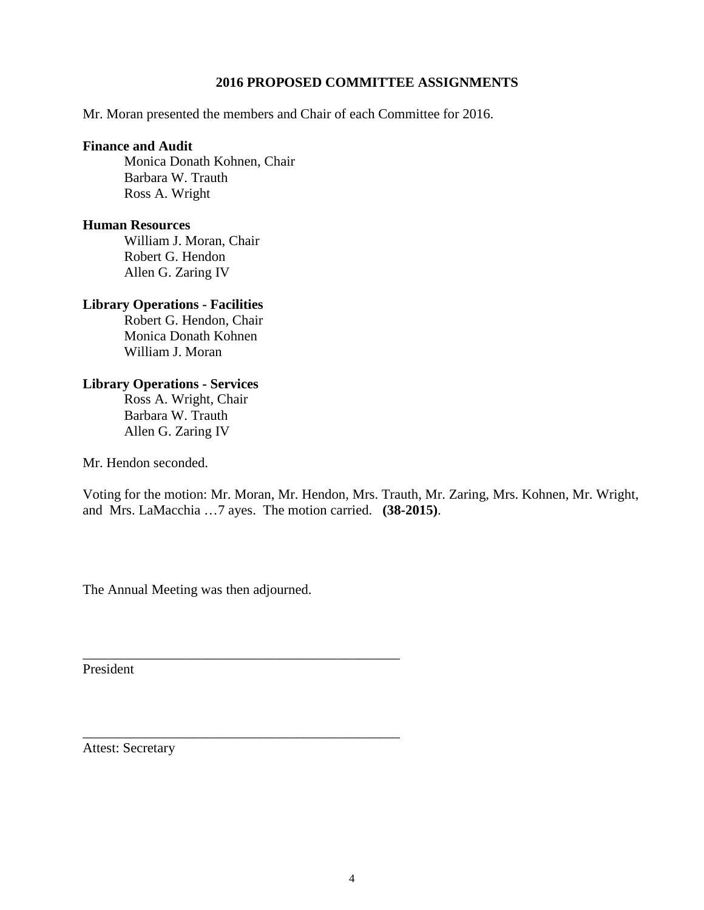### **2016 PROPOSED COMMITTEE ASSIGNMENTS**

Mr. Moran presented the members and Chair of each Committee for 2016.

#### **Finance and Audit**

Monica Donath Kohnen, Chair Barbara W. Trauth Ross A. Wright

#### **Human Resources**

William J. Moran, Chair Robert G. Hendon Allen G. Zaring IV

#### **Library Operations - Facilities**

Robert G. Hendon, Chair Monica Donath Kohnen William J. Moran

### **Library Operations - Services**

Ross A. Wright, Chair Barbara W. Trauth Allen G. Zaring IV

Mr. Hendon seconded.

Voting for the motion: Mr. Moran, Mr. Hendon, Mrs. Trauth, Mr. Zaring, Mrs. Kohnen, Mr. Wright, and Mrs. LaMacchia …7 ayes. The motion carried. **(38-2015)**.

The Annual Meeting was then adjourned.

\_\_\_\_\_\_\_\_\_\_\_\_\_\_\_\_\_\_\_\_\_\_\_\_\_\_\_\_\_\_\_\_\_\_\_\_\_\_\_\_\_\_\_\_\_\_

\_\_\_\_\_\_\_\_\_\_\_\_\_\_\_\_\_\_\_\_\_\_\_\_\_\_\_\_\_\_\_\_\_\_\_\_\_\_\_\_\_\_\_\_\_\_

President

Attest: Secretary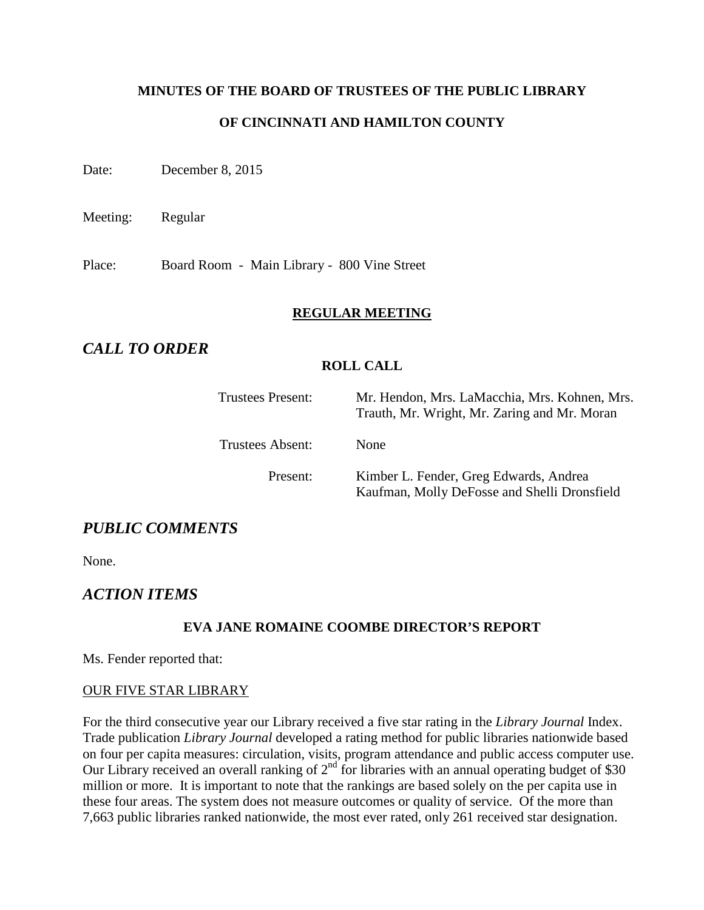# **MINUTES OF THE BOARD OF TRUSTEES OF THE PUBLIC LIBRARY**

## **OF CINCINNATI AND HAMILTON COUNTY**

Date: December 8, 2015

Meeting: Regular

Place: Board Room - Main Library - 800 Vine Street

### **REGULAR MEETING**

## *CALL TO ORDER*

### **ROLL CALL**

| <b>Trustees Present:</b> | Mr. Hendon, Mrs. LaMacchia, Mrs. Kohnen, Mrs.<br>Trauth, Mr. Wright, Mr. Zaring and Mr. Moran |
|--------------------------|-----------------------------------------------------------------------------------------------|
| Trustees Absent:         | None                                                                                          |
| Present:                 | Kimber L. Fender, Greg Edwards, Andrea<br>Kaufman, Molly DeFosse and Shelli Dronsfield        |

## *PUBLIC COMMENTS*

None.

## *ACTION ITEMS*

### **EVA JANE ROMAINE COOMBE DIRECTOR'S REPORT**

Ms. Fender reported that:

### OUR FIVE STAR LIBRARY

For the third consecutive year our Library received a five star rating in the *Library Journal* Index. Trade publication *Library Journal* developed a rating method for public libraries nationwide based on four per capita measures: circulation, visits, program attendance and public access computer use. Our Library received an overall ranking of  $2<sup>nd</sup>$  for libraries with an annual operating budget of \$30 million or more. It is important to note that the rankings are based solely on the per capita use in these four areas. The system does not measure outcomes or quality of service. Of the more than 7,663 public libraries ranked nationwide, the most ever rated, only 261 received star designation.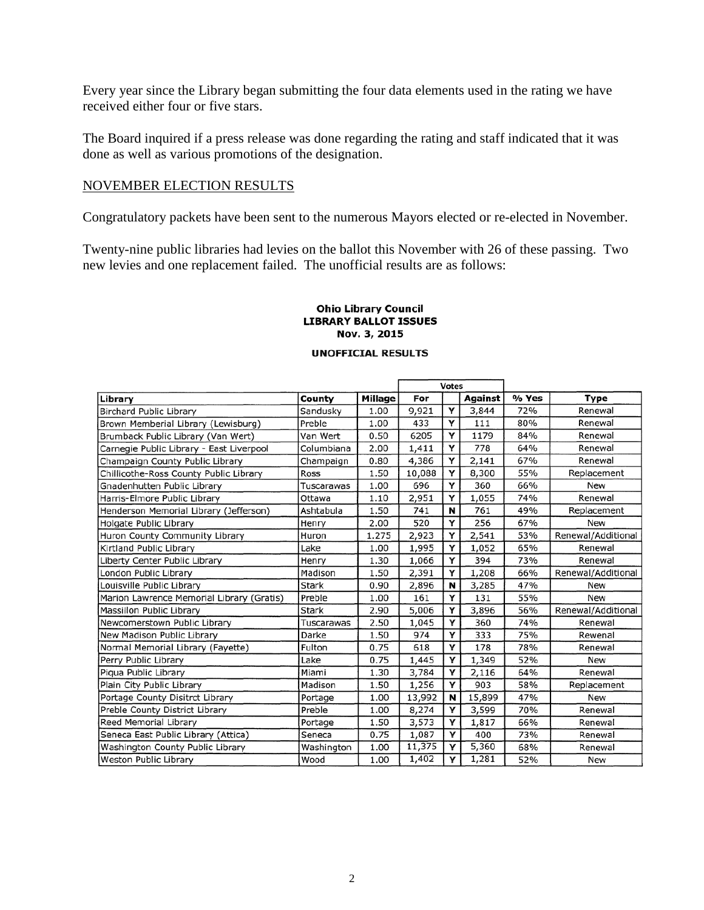Every year since the Library began submitting the four data elements used in the rating we have received either four or five stars.

The Board inquired if a press release was done regarding the rating and staff indicated that it was done as well as various promotions of the designation.

#### NOVEMBER ELECTION RESULTS

Congratulatory packets have been sent to the numerous Mayors elected or re-elected in November.

Twenty-nine public libraries had levies on the ballot this November with 26 of these passing. Two new levies and one replacement failed. The unofficial results are as follows:

#### **Ohio Library Council LIBRARY BALLOT ISSUES** Nov. 3, 2015

#### **UNOFFICIAL RESULTS**

|                                           |              |         | <b>Votes</b> |   |                |       |                    |
|-------------------------------------------|--------------|---------|--------------|---|----------------|-------|--------------------|
| Library                                   | County       | Millage | For          |   | <b>Against</b> | % Yes | Type               |
| <b>Birchard Public Library</b>            | Sandusky     | 1.00    | 9,921        | Y | 3,844          | 72%   | Renewal            |
| Brown Memberial Library (Lewisburg)       | Preble       | 1.00    | 433          | Y | 111            | 80%   | Renewal            |
| Brumback Public Library (Van Wert)        | Van Wert     | 0.50    | 6205         | Υ | 1179           | 84%   | Renewal            |
| Carnegie Public Library - East Liverpool  | Columbiana   | 2.00    | 1,411        | Y | 778            | 64%   | Renewal            |
| Champaign County Public Library           | Champaign    | 0.80    | 4,386        | Y | 2,141          | 67%   | Renewal            |
| Chillicothe-Ross County Public Library    | Ross         | 1.50    | 10,088       | Y | 8,300          | 55%   | Replacement        |
| Gnadenhutten Public Library               | Tuscarawas   | 1.00    | 696          | Υ | 360            | 66%   | New                |
| Harris-Elmore Public Library              | Ottawa       | 1.10    | 2,951        | Υ | 1,055          | 74%   | Renewal            |
| Henderson Memorial Library (Jefferson)    | Ashtabula    | 1.50    | 741          | N | 761            | 49%   | Replacement        |
| Holgate Public Library                    | Henry        | 2.00    | 520          | Y | 256            | 67%   | New                |
| Huron County Community Library            | Huron        | 1.275   | 2,923        | Y | 2,541          | 53%   | Renewal/Additional |
| Kirtland Public Library                   | Lake         | 1.00    | 1,995        | Y | 1,052          | 65%   | Renewal            |
| Liberty Center Public Library             | Henry        | 1.30    | 1,066        | Y | 394            | 73%   | Renewal            |
| London Public Library                     | Madison      | 1.50    | 2,391        | Y | 1,208          | 66%   | Renewal/Additional |
| Louisville Public Library                 | <b>Stark</b> | 0.90    | 2,896        | N | 3,285          | 47%   | New                |
| Marion Lawrence Memorial Library (Gratis) | Preble       | 1.00    | 161          | Y | 131            | 55%   | New                |
| Massillon Public Library                  | <b>Stark</b> | 2.90    | 5,006        | Y | 3,896          | 56%   | Renewal/Additional |
| Newcomerstown Public Library              | Tuscarawas   | 2.50    | 1,045        | Y | 360            | 74%   | Renewal            |
| New Madison Public Library                | Darke        | 1.50    | 974          | Y | 333            | 75%   | Rewenal            |
| Normal Memorial Library (Fayette)         | Fulton       | 0.75    | 618          | Υ | 178            | 78%   | Renewal            |
| Perry Public Library                      | Lake         | 0.75    | 1,445        | Y | 1,349          | 52%   | New                |
| Piqua Public Library                      | Miami        | 1.30    | 3,784        | Y | 2,116          | 64%   | Renewal            |
| Plain City Public Library                 | Madison      | 1.50    | 1,256        | Υ | 903            | 58%   | Replacement        |
| Portage County Disitrct Library           | Portage      | 1.00    | 13,992       | N | 15,899         | 47%   | New                |
| Preble County District Library            | Preble       | 1.00    | 8,274        | Υ | 3,599          | 70%   | Renewal            |
| Reed Memorial Library                     | Portage      | 1.50    | 3,573        | Y | 1,817          | 66%   | Renewal            |
| Seneca East Public Library (Attica)       | Seneca       | 0.75    | 1,087        | Y | 400            | 73%   | Renewal            |
| Washington County Public Library          | Washington   | 1.00    | 11,375       | Y | 5,360          | 68%   | Renewal            |
| Weston Public Library                     | Wood         | 1.00    | 1,402        | Y | 1,281          | 52%   | New                |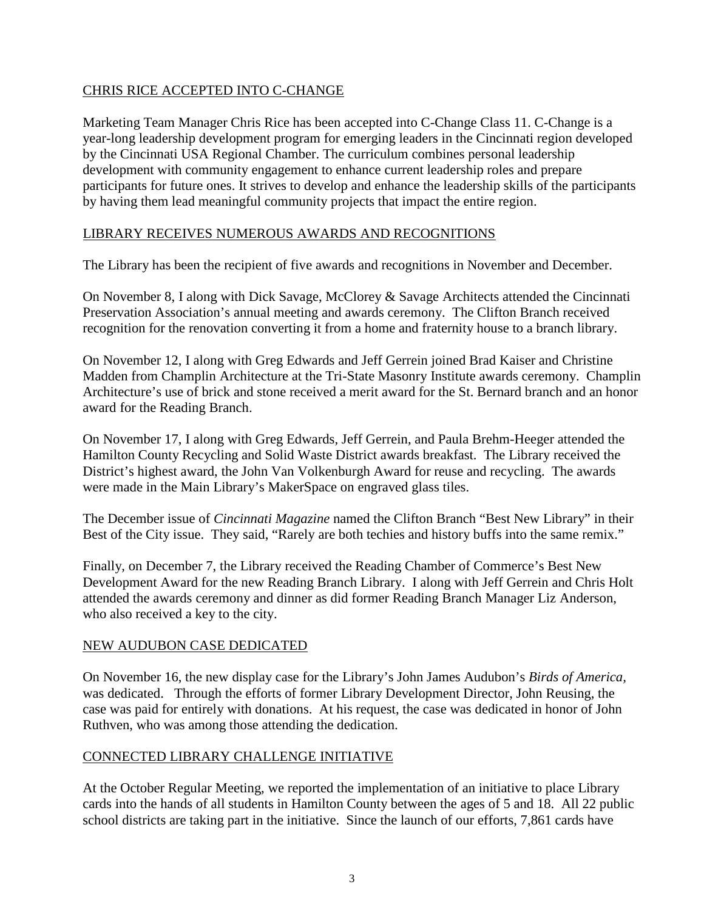## CHRIS RICE ACCEPTED INTO C-CHANGE

Marketing Team Manager Chris Rice has been accepted into C-Change Class 11. C-Change is a year-long leadership development program for emerging leaders in the Cincinnati region developed by the Cincinnati USA Regional Chamber. The curriculum combines personal leadership development with community engagement to enhance current leadership roles and prepare participants for future ones. It strives to develop and enhance the leadership skills of the participants by having them lead meaningful community projects that impact the entire region.

## LIBRARY RECEIVES NUMEROUS AWARDS AND RECOGNITIONS

The Library has been the recipient of five awards and recognitions in November and December.

On November 8, I along with Dick Savage, McClorey & Savage Architects attended the Cincinnati Preservation Association's annual meeting and awards ceremony. The Clifton Branch received recognition for the renovation converting it from a home and fraternity house to a branch library.

On November 12, I along with Greg Edwards and Jeff Gerrein joined Brad Kaiser and Christine Madden from Champlin Architecture at the Tri-State Masonry Institute awards ceremony. Champlin Architecture's use of brick and stone received a merit award for the St. Bernard branch and an honor award for the Reading Branch.

On November 17, I along with Greg Edwards, Jeff Gerrein, and Paula Brehm-Heeger attended the Hamilton County Recycling and Solid Waste District awards breakfast. The Library received the District's highest award, the John Van Volkenburgh Award for reuse and recycling. The awards were made in the Main Library's MakerSpace on engraved glass tiles.

The December issue of *Cincinnati Magazine* named the Clifton Branch "Best New Library" in their Best of the City issue. They said, "Rarely are both techies and history buffs into the same remix."

Finally, on December 7, the Library received the Reading Chamber of Commerce's Best New Development Award for the new Reading Branch Library. I along with Jeff Gerrein and Chris Holt attended the awards ceremony and dinner as did former Reading Branch Manager Liz Anderson, who also received a key to the city.

## NEW AUDUBON CASE DEDICATED

On November 16, the new display case for the Library's John James Audubon's *Birds of America,*  was dedicated. Through the efforts of former Library Development Director, John Reusing, the case was paid for entirely with donations. At his request, the case was dedicated in honor of John Ruthven, who was among those attending the dedication.

## CONNECTED LIBRARY CHALLENGE INITIATIVE

At the October Regular Meeting, we reported the implementation of an initiative to place Library cards into the hands of all students in Hamilton County between the ages of 5 and 18. All 22 public school districts are taking part in the initiative. Since the launch of our efforts, 7,861 cards have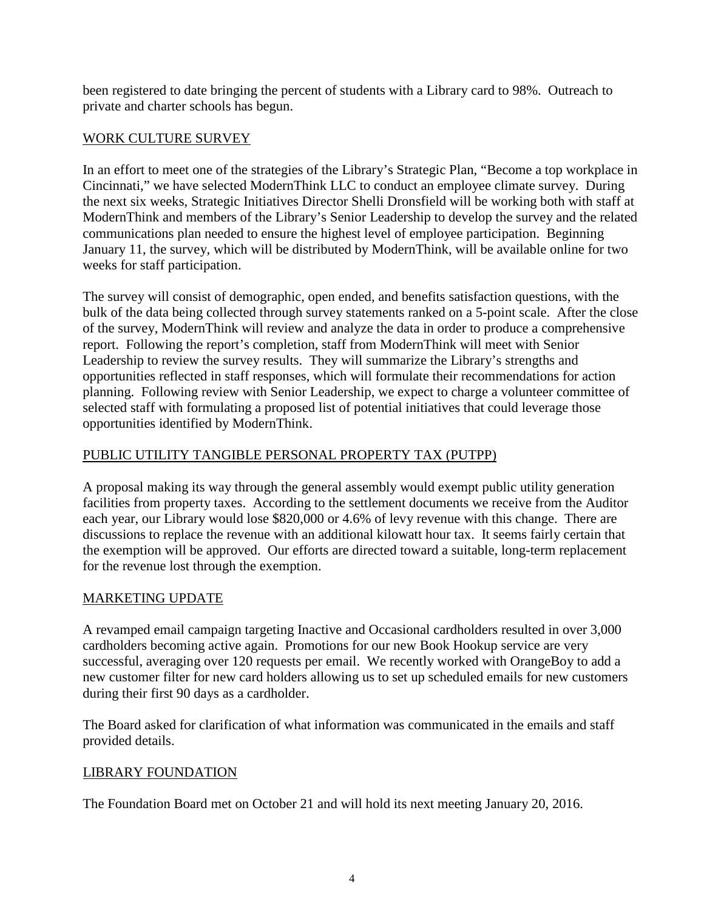been registered to date bringing the percent of students with a Library card to 98%. Outreach to private and charter schools has begun.

## WORK CULTURE SURVEY

In an effort to meet one of the strategies of the Library's Strategic Plan, "Become a top workplace in Cincinnati," we have selected ModernThink LLC to conduct an employee climate survey. During the next six weeks, Strategic Initiatives Director Shelli Dronsfield will be working both with staff at ModernThink and members of the Library's Senior Leadership to develop the survey and the related communications plan needed to ensure the highest level of employee participation. Beginning January 11, the survey, which will be distributed by ModernThink, will be available online for two weeks for staff participation.

The survey will consist of demographic, open ended, and benefits satisfaction questions, with the bulk of the data being collected through survey statements ranked on a 5-point scale. After the close of the survey, ModernThink will review and analyze the data in order to produce a comprehensive report. Following the report's completion, staff from ModernThink will meet with Senior Leadership to review the survey results. They will summarize the Library's strengths and opportunities reflected in staff responses, which will formulate their recommendations for action planning. Following review with Senior Leadership, we expect to charge a volunteer committee of selected staff with formulating a proposed list of potential initiatives that could leverage those opportunities identified by ModernThink.

## PUBLIC UTILITY TANGIBLE PERSONAL PROPERTY TAX (PUTPP)

A proposal making its way through the general assembly would exempt public utility generation facilities from property taxes. According to the settlement documents we receive from the Auditor each year, our Library would lose \$820,000 or 4.6% of levy revenue with this change. There are discussions to replace the revenue with an additional kilowatt hour tax. It seems fairly certain that the exemption will be approved. Our efforts are directed toward a suitable, long-term replacement for the revenue lost through the exemption.

## MARKETING UPDATE

A revamped email campaign targeting Inactive and Occasional cardholders resulted in over 3,000 cardholders becoming active again. Promotions for our new Book Hookup service are very successful, averaging over 120 requests per email. We recently worked with OrangeBoy to add a new customer filter for new card holders allowing us to set up scheduled emails for new customers during their first 90 days as a cardholder.

The Board asked for clarification of what information was communicated in the emails and staff provided details.

## LIBRARY FOUNDATION

The Foundation Board met on October 21 and will hold its next meeting January 20, 2016.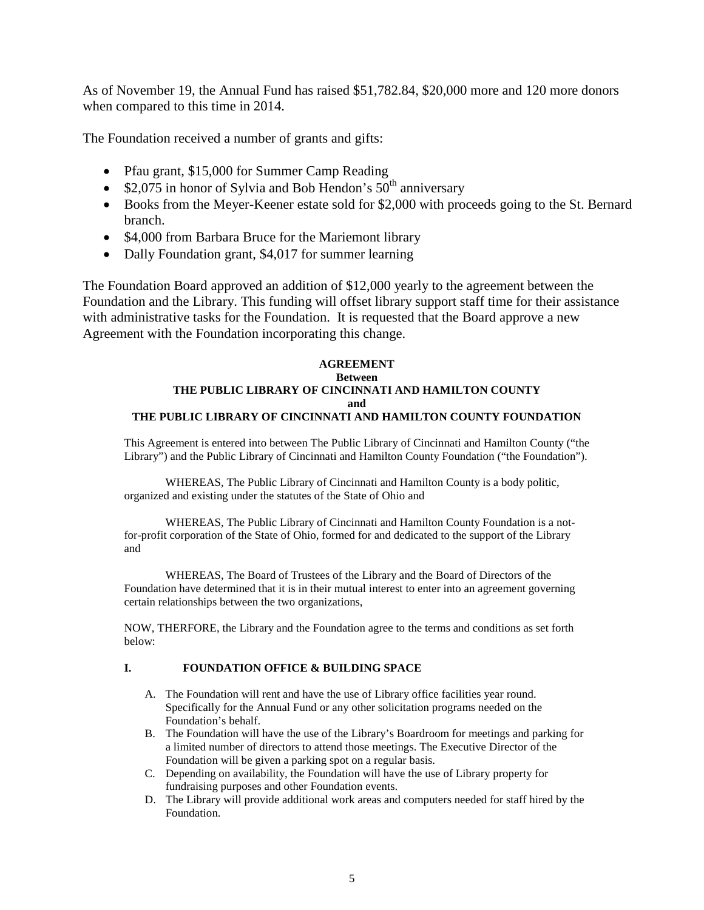As of November 19, the Annual Fund has raised \$51,782.84, \$20,000 more and 120 more donors when compared to this time in 2014.

The Foundation received a number of grants and gifts:

- Pfau grant, \$15,000 for Summer Camp Reading
- \$2,075 in honor of Sylvia and Bob Hendon's  $50<sup>th</sup>$  anniversary
- Books from the Meyer-Keener estate sold for \$2,000 with proceeds going to the St. Bernard branch.
- \$4,000 from Barbara Bruce for the Mariemont library
- Dally Foundation grant, \$4,017 for summer learning

The Foundation Board approved an addition of \$12,000 yearly to the agreement between the Foundation and the Library. This funding will offset library support staff time for their assistance with administrative tasks for the Foundation. It is requested that the Board approve a new Agreement with the Foundation incorporating this change.

#### **AGREEMENT Between THE PUBLIC LIBRARY OF CINCINNATI AND HAMILTON COUNTY and THE PUBLIC LIBRARY OF CINCINNATI AND HAMILTON COUNTY FOUNDATION**

This Agreement is entered into between The Public Library of Cincinnati and Hamilton County ("the Library") and the Public Library of Cincinnati and Hamilton County Foundation ("the Foundation").

WHEREAS, The Public Library of Cincinnati and Hamilton County is a body politic, organized and existing under the statutes of the State of Ohio and

WHEREAS, The Public Library of Cincinnati and Hamilton County Foundation is a notfor-profit corporation of the State of Ohio, formed for and dedicated to the support of the Library and

WHEREAS, The Board of Trustees of the Library and the Board of Directors of the Foundation have determined that it is in their mutual interest to enter into an agreement governing certain relationships between the two organizations,

NOW, THERFORE, the Library and the Foundation agree to the terms and conditions as set forth below:

#### **I. FOUNDATION OFFICE & BUILDING SPACE**

- A. The Foundation will rent and have the use of Library office facilities year round. Specifically for the Annual Fund or any other solicitation programs needed on the Foundation's behalf.
- B. The Foundation will have the use of the Library's Boardroom for meetings and parking for a limited number of directors to attend those meetings. The Executive Director of the Foundation will be given a parking spot on a regular basis.
- C. Depending on availability, the Foundation will have the use of Library property for fundraising purposes and other Foundation events.
- D. The Library will provide additional work areas and computers needed for staff hired by the Foundation.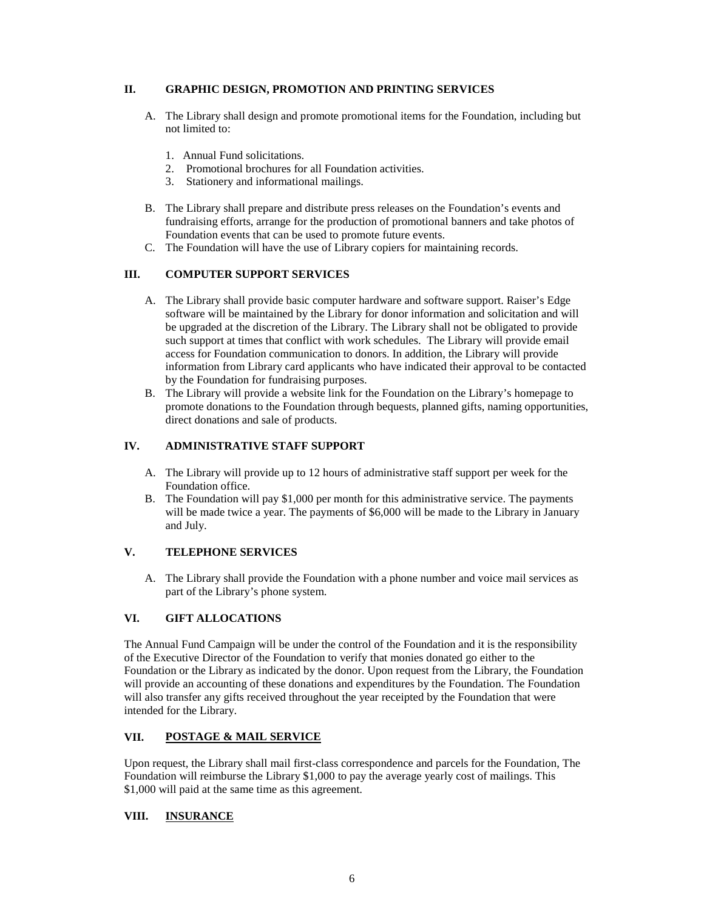#### **II. GRAPHIC DESIGN, PROMOTION AND PRINTING SERVICES**

- A. The Library shall design and promote promotional items for the Foundation, including but not limited to:
	- 1. Annual Fund solicitations.
	- 2. Promotional brochures for all Foundation activities.
	- 3. Stationery and informational mailings.
- B. The Library shall prepare and distribute press releases on the Foundation's events and fundraising efforts, arrange for the production of promotional banners and take photos of Foundation events that can be used to promote future events.
- C. The Foundation will have the use of Library copiers for maintaining records.

#### **III. COMPUTER SUPPORT SERVICES**

- A. The Library shall provide basic computer hardware and software support. Raiser's Edge software will be maintained by the Library for donor information and solicitation and will be upgraded at the discretion of the Library. The Library shall not be obligated to provide such support at times that conflict with work schedules. The Library will provide email access for Foundation communication to donors. In addition, the Library will provide information from Library card applicants who have indicated their approval to be contacted by the Foundation for fundraising purposes.
- B. The Library will provide a website link for the Foundation on the Library's homepage to promote donations to the Foundation through bequests, planned gifts, naming opportunities, direct donations and sale of products.

#### **IV. ADMINISTRATIVE STAFF SUPPORT**

- A. The Library will provide up to 12 hours of administrative staff support per week for the Foundation office.
- B. The Foundation will pay \$1,000 per month for this administrative service. The payments will be made twice a year. The payments of \$6,000 will be made to the Library in January and July.

#### **V. TELEPHONE SERVICES**

A. The Library shall provide the Foundation with a phone number and voice mail services as part of the Library's phone system.

#### **VI. GIFT ALLOCATIONS**

The Annual Fund Campaign will be under the control of the Foundation and it is the responsibility of the Executive Director of the Foundation to verify that monies donated go either to the Foundation or the Library as indicated by the donor. Upon request from the Library, the Foundation will provide an accounting of these donations and expenditures by the Foundation. The Foundation will also transfer any gifts received throughout the year receipted by the Foundation that were intended for the Library.

#### **VII. POSTAGE & MAIL SERVICE**

Upon request, the Library shall mail first-class correspondence and parcels for the Foundation, The Foundation will reimburse the Library \$1,000 to pay the average yearly cost of mailings. This \$1,000 will paid at the same time as this agreement.

#### **VIII. INSURANCE**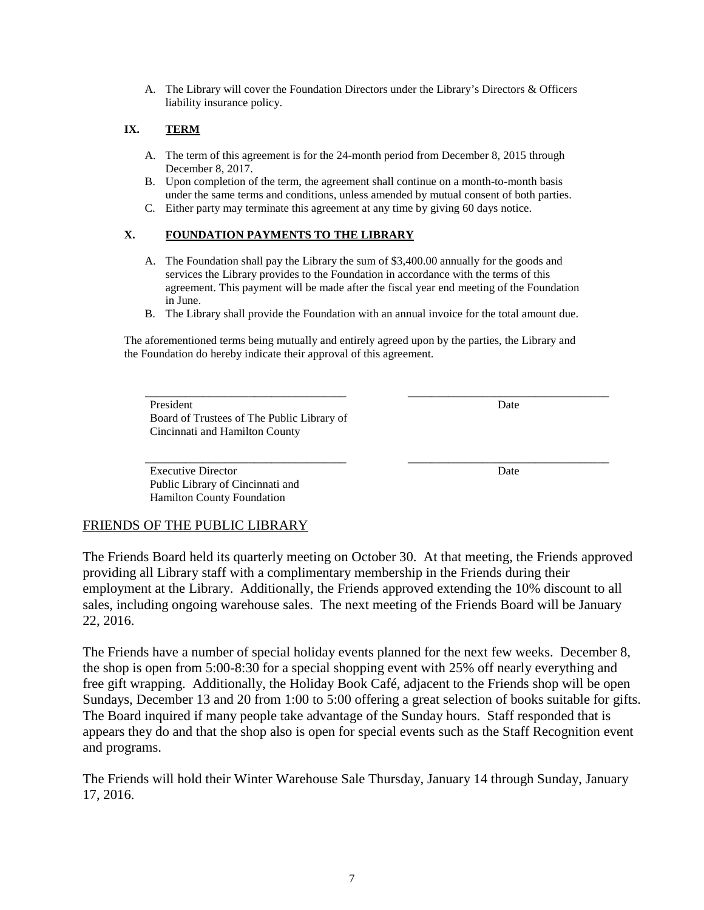A. The Library will cover the Foundation Directors under the Library's Directors & Officers liability insurance policy.

#### **IX. TERM**

- A. The term of this agreement is for the 24-month period from December 8, 2015 through December 8, 2017.
- B. Upon completion of the term, the agreement shall continue on a month-to-month basis under the same terms and conditions, unless amended by mutual consent of both parties.
- C. Either party may terminate this agreement at any time by giving 60 days notice.

#### **X. FOUNDATION PAYMENTS TO THE LIBRARY**

- A. The Foundation shall pay the Library the sum of \$3,400.00 annually for the goods and services the Library provides to the Foundation in accordance with the terms of this agreement. This payment will be made after the fiscal year end meeting of the Foundation in June.
- B. The Library shall provide the Foundation with an annual invoice for the total amount due.

\_\_\_\_\_\_\_\_\_\_\_\_\_\_\_\_\_\_\_\_\_\_\_\_\_\_\_\_\_\_\_\_\_\_\_ \_\_\_\_\_\_\_\_\_\_\_\_\_\_\_\_\_\_\_\_\_\_\_\_\_\_\_\_\_\_\_\_\_\_\_

The aforementioned terms being mutually and entirely agreed upon by the parties, the Library and the Foundation do hereby indicate their approval of this agreement.

President Date Board of Trustees of The Public Library of Cincinnati and Hamilton County

Executive Director Date and Date Date Date of the Date of the Date Date of the Date of the Date of the Date of the Date of the Date of the Date of the Date of the Date of the Date of the Date of the Date of the Date of the Public Library of Cincinnati and Hamilton County Foundation

\_\_\_\_\_\_\_\_\_\_\_\_\_\_\_\_\_\_\_\_\_\_\_\_\_\_\_\_\_\_\_\_\_\_\_ \_\_\_\_\_\_\_\_\_\_\_\_\_\_\_\_\_\_\_\_\_\_\_\_\_\_\_\_\_\_\_\_\_\_\_

### FRIENDS OF THE PUBLIC LIBRARY

The Friends Board held its quarterly meeting on October 30. At that meeting, the Friends approved providing all Library staff with a complimentary membership in the Friends during their employment at the Library. Additionally, the Friends approved extending the 10% discount to all sales, including ongoing warehouse sales. The next meeting of the Friends Board will be January 22, 2016.

The Friends have a number of special holiday events planned for the next few weeks. December 8, the shop is open from 5:00-8:30 for a special shopping event with 25% off nearly everything and free gift wrapping. Additionally, the Holiday Book Café, adjacent to the Friends shop will be open Sundays, December 13 and 20 from 1:00 to 5:00 offering a great selection of books suitable for gifts. The Board inquired if many people take advantage of the Sunday hours. Staff responded that is appears they do and that the shop also is open for special events such as the Staff Recognition event and programs.

The Friends will hold their Winter Warehouse Sale Thursday, January 14 through Sunday, January 17, 2016.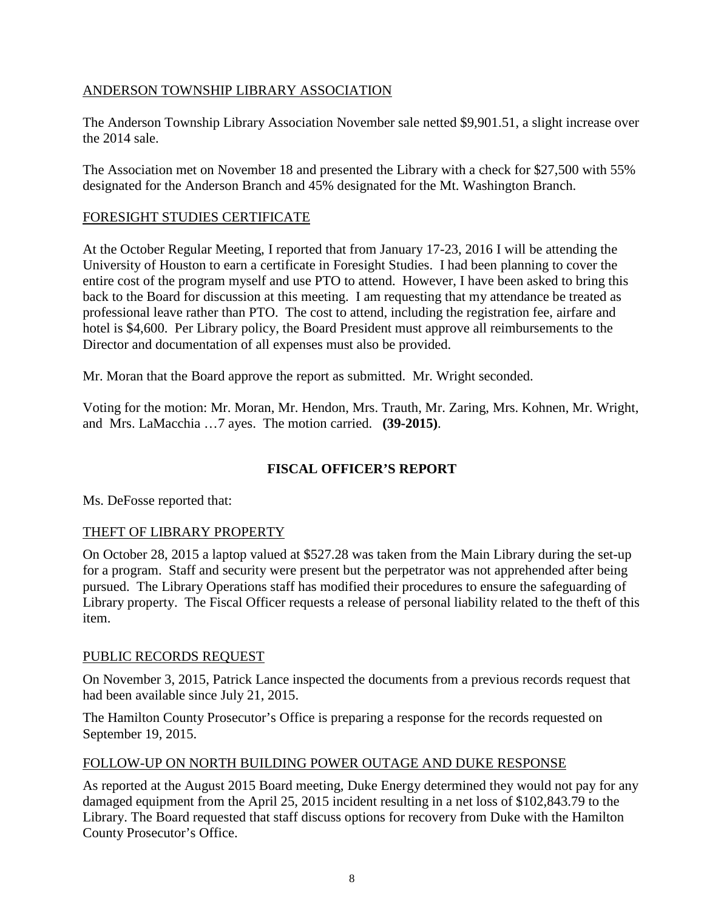## ANDERSON TOWNSHIP LIBRARY ASSOCIATION

The Anderson Township Library Association November sale netted \$9,901.51, a slight increase over the 2014 sale.

The Association met on November 18 and presented the Library with a check for \$27,500 with 55% designated for the Anderson Branch and 45% designated for the Mt. Washington Branch.

## FORESIGHT STUDIES CERTIFICATE

At the October Regular Meeting, I reported that from January 17-23, 2016 I will be attending the University of Houston to earn a certificate in Foresight Studies. I had been planning to cover the entire cost of the program myself and use PTO to attend. However, I have been asked to bring this back to the Board for discussion at this meeting. I am requesting that my attendance be treated as professional leave rather than PTO. The cost to attend, including the registration fee, airfare and hotel is \$4,600. Per Library policy, the Board President must approve all reimbursements to the Director and documentation of all expenses must also be provided.

Mr. Moran that the Board approve the report as submitted. Mr. Wright seconded.

Voting for the motion: Mr. Moran, Mr. Hendon, Mrs. Trauth, Mr. Zaring, Mrs. Kohnen, Mr. Wright, and Mrs. LaMacchia …7 ayes. The motion carried. **(39-2015)**.

## **FISCAL OFFICER'S REPORT**

Ms. DeFosse reported that:

## THEFT OF LIBRARY PROPERTY

On October 28, 2015 a laptop valued at \$527.28 was taken from the Main Library during the set-up for a program. Staff and security were present but the perpetrator was not apprehended after being pursued. The Library Operations staff has modified their procedures to ensure the safeguarding of Library property. The Fiscal Officer requests a release of personal liability related to the theft of this item.

## PUBLIC RECORDS REQUEST

On November 3, 2015, Patrick Lance inspected the documents from a previous records request that had been available since July 21, 2015.

The Hamilton County Prosecutor's Office is preparing a response for the records requested on September 19, 2015.

## FOLLOW-UP ON NORTH BUILDING POWER OUTAGE AND DUKE RESPONSE

As reported at the August 2015 Board meeting, Duke Energy determined they would not pay for any damaged equipment from the April 25, 2015 incident resulting in a net loss of \$102,843.79 to the Library. The Board requested that staff discuss options for recovery from Duke with the Hamilton County Prosecutor's Office.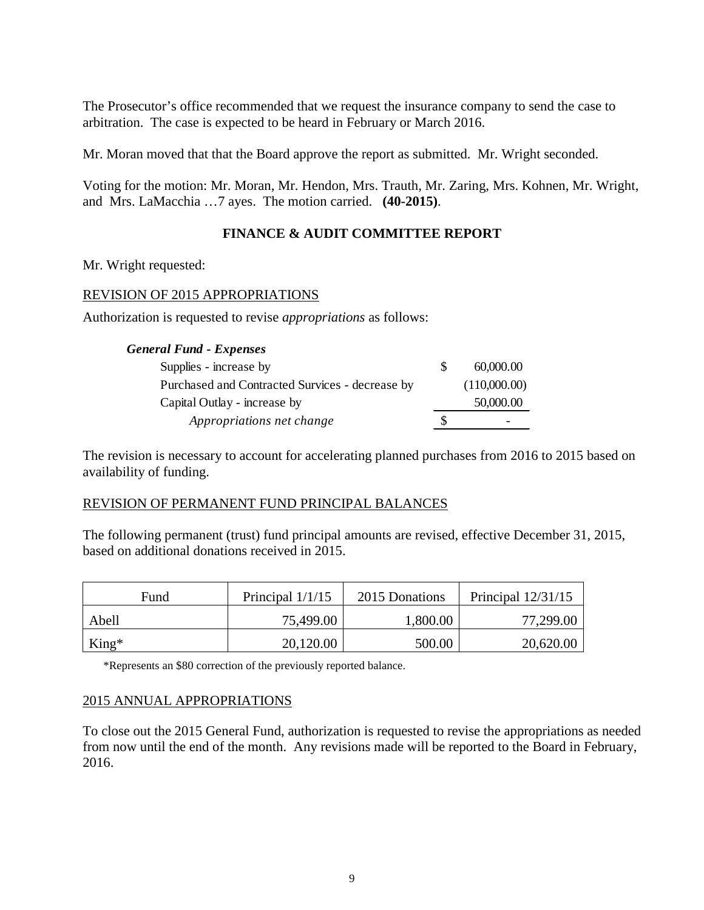The Prosecutor's office recommended that we request the insurance company to send the case to arbitration. The case is expected to be heard in February or March 2016.

Mr. Moran moved that that the Board approve the report as submitted. Mr. Wright seconded.

Voting for the motion: Mr. Moran, Mr. Hendon, Mrs. Trauth, Mr. Zaring, Mrs. Kohnen, Mr. Wright, and Mrs. LaMacchia …7 ayes. The motion carried. **(40-2015)**.

### **FINANCE & AUDIT COMMITTEE REPORT**

Mr. Wright requested:

#### REVISION OF 2015 APPROPRIATIONS

Authorization is requested to revise *appropriations* as follows:

#### *General Fund - Expenses*

| Supplies - increase by                          | 60,000,00    |
|-------------------------------------------------|--------------|
| Purchased and Contracted Survices - decrease by | (110,000.00) |
| Capital Outlay - increase by                    | 50,000.00    |
| Appropriations net change                       |              |

The revision is necessary to account for accelerating planned purchases from 2016 to 2015 based on availability of funding.

#### REVISION OF PERMANENT FUND PRINCIPAL BALANCES

The following permanent (trust) fund principal amounts are revised, effective December 31, 2015, based on additional donations received in 2015.

| Fund    | Principal $1/1/15$ | 2015 Donations | Principal $12/31/15$ |  |
|---------|--------------------|----------------|----------------------|--|
| Abell   | 75,499.00          | 1,800.00       | 77,299.00            |  |
| $King*$ | 20,120.00          | 500.00         | 20,620.00            |  |

\*Represents an \$80 correction of the previously reported balance.

#### 2015 ANNUAL APPROPRIATIONS

To close out the 2015 General Fund, authorization is requested to revise the appropriations as needed from now until the end of the month. Any revisions made will be reported to the Board in February, 2016.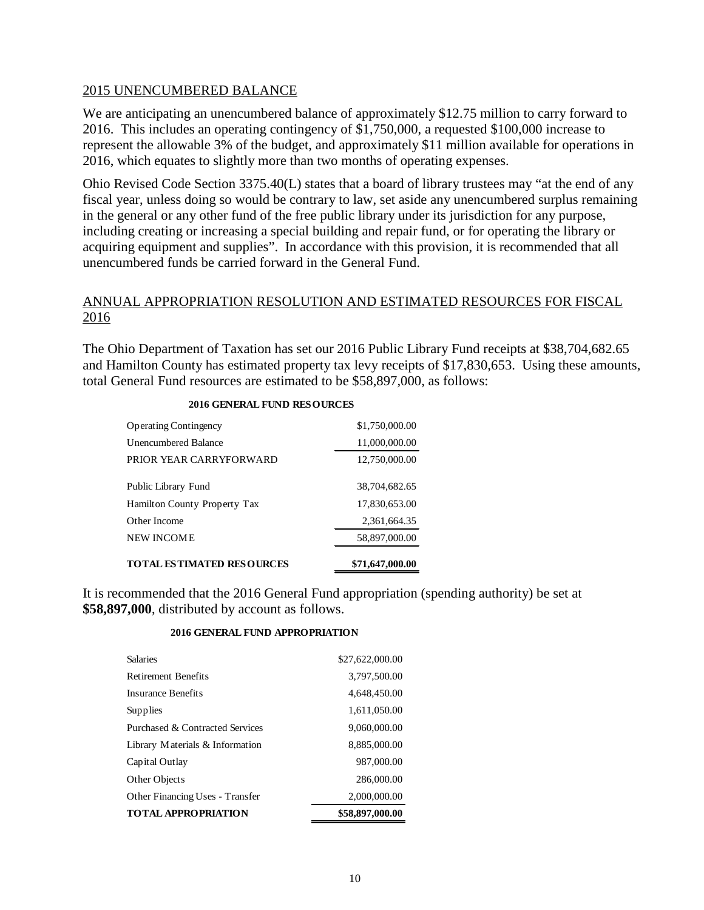#### 2015 UNENCUMBERED BALANCE

We are anticipating an unencumbered balance of approximately \$12.75 million to carry forward to 2016. This includes an operating contingency of \$1,750,000, a requested \$100,000 increase to represent the allowable 3% of the budget, and approximately \$11 million available for operations in 2016, which equates to slightly more than two months of operating expenses.

Ohio Revised Code Section 3375.40(L) states that a board of library trustees may "at the end of any fiscal year, unless doing so would be contrary to law, set aside any unencumbered surplus remaining in the general or any other fund of the free public library under its jurisdiction for any purpose, including creating or increasing a special building and repair fund, or for operating the library or acquiring equipment and supplies". In accordance with this provision, it is recommended that all unencumbered funds be carried forward in the General Fund.

### ANNUAL APPROPRIATION RESOLUTION AND ESTIMATED RESOURCES FOR FISCAL 2016

The Ohio Department of Taxation has set our 2016 Public Library Fund receipts at \$38,704,682.65 and Hamilton County has estimated property tax levy receipts of \$17,830,653. Using these amounts, total General Fund resources are estimated to be \$58,897,000, as follows:

| TOTAL ESTIMATED RESOURCES    | \$71,647,000.00 |
|------------------------------|-----------------|
| NEW INCOME                   | 58,897,000.00   |
| Other Income                 | 2,361,664.35    |
| Hamilton County Property Tax | 17,830,653.00   |
| Public Library Fund          | 38,704,682.65   |
| PRIOR YEAR CARRYFORWARD      | 12,750,000.00   |
| Unencumbered Balance         | 11,000,000.00   |
| <b>Operating Contingency</b> | \$1,750,000.00  |
|                              |                 |

#### **2016 GENERAL FUND RESOURCES**

It is recommended that the 2016 General Fund appropriation (spending authority) be set at **\$58,897,000**, distributed by account as follows.

#### **2016 GENERAL FUND APPROPRIATION**

| <b>TOTAL APPROPRIATION</b>      | \$58,897,000.00 |
|---------------------------------|-----------------|
| Other Financing Uses - Transfer | 2,000,000.00    |
| Other Objects                   | 286,000.00      |
| Capital Outlay                  | 987,000.00      |
| Library Materials & Information | 8,885,000.00    |
| Purchased & Contracted Services | 9,060,000.00    |
| Supplies                        | 1,611,050.00    |
| Insurance Benefits              | 4,648,450.00    |
| <b>Retirement Benefits</b>      | 3,797,500.00    |
| <b>Salaries</b>                 | \$27,622,000.00 |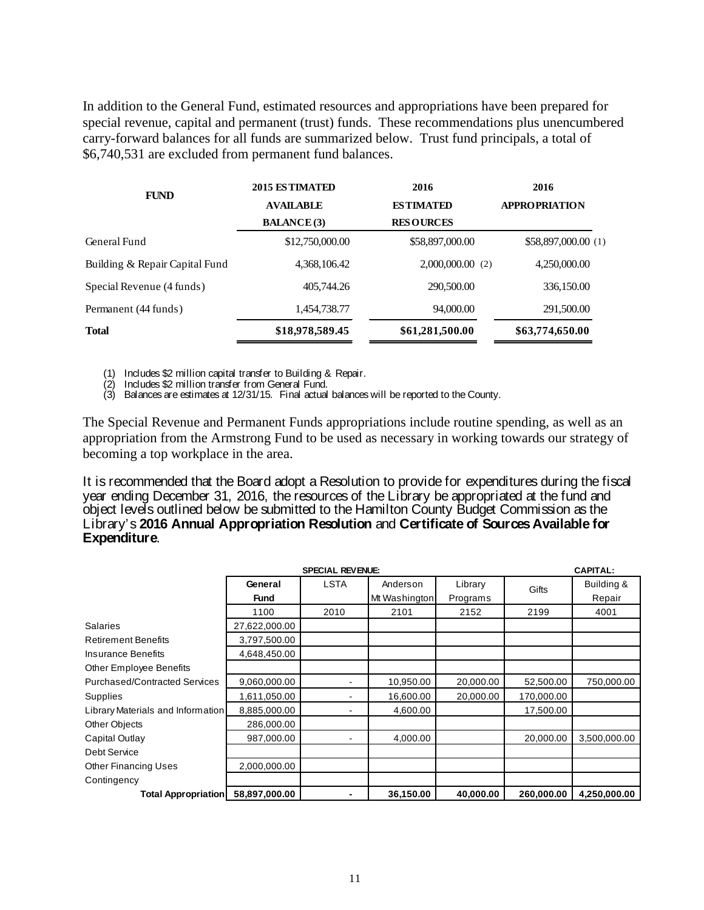In addition to the General Fund, estimated resources and appropriations have been prepared for special revenue, capital and permanent (trust) funds. These recommendations plus unencumbered carry-forward balances for all funds are summarized below. Trust fund principals, a total of \$6,740,531 are excluded from permanent fund balances.

| 2015 ESTIMATED     | 2016               | 2016                 |  |
|--------------------|--------------------|----------------------|--|
| <b>AVAILABLE</b>   | <b>ESTIMATED</b>   | <b>APPROPRIATION</b> |  |
| <b>BALANCE</b> (3) | <b>RESOURCES</b>   |                      |  |
| \$12,750,000.00    | \$58,897,000.00    | \$58,897,000.00 (1)  |  |
| 4,368,106.42       | $2,000,000.00$ (2) | 4,250,000.00         |  |
| 405,744.26         | 290,500.00         | 336,150.00           |  |
| 1,454,738.77       | 94,000.00          | 291,500.00           |  |
| \$18,978,589.45    | \$61,281,500.00    | \$63,774,650.00      |  |
|                    |                    |                      |  |

(1) Includes \$2 million capital transfer to Building & Repair.

(2) Includes \$2 million transfer from General Fund.

(3) Balances are estimates at 12/31/15. Final actual balances will be reported to the County.

The Special Revenue and Permanent Funds appropriations include routine spending, as well as an appropriation from the Armstrong Fund to be used as necessary in working towards our strategy of becoming a top workplace in the area.

It is recommended that the Board adopt a Resolution to provide for expenditures during the fiscal year ending December 31, 2016, the resources of the Library be appropriated at the fund and object levels outlined below be submitted to the Hamilton County Budget Commission as the Library's **2016 Annual Appropriation Resolution** and **Certificate of Sources Available for Expenditure**.

|                                      |               | <b>SPECIAL REVENUE:</b> |               |           |            |              |
|--------------------------------------|---------------|-------------------------|---------------|-----------|------------|--------------|
|                                      | General       | <b>LSTA</b>             | Anderson      | Library   | Gifts      | Building &   |
|                                      | <b>Fund</b>   |                         | Mt Washington | Programs  |            | Repair       |
|                                      | 1100          | 2010                    | 2101          | 2152      | 2199       | 4001         |
| <b>Salaries</b>                      | 27,622,000.00 |                         |               |           |            |              |
| <b>Retirement Benefits</b>           | 3,797,500.00  |                         |               |           |            |              |
| <b>Insurance Benefits</b>            | 4,648,450.00  |                         |               |           |            |              |
| Other Employee Benefits              |               |                         |               |           |            |              |
| <b>Purchased/Contracted Services</b> | 9,060,000.00  |                         | 10,950.00     | 20,000.00 | 52,500.00  | 750,000.00   |
| Supplies                             | 1,611,050.00  |                         | 16,600.00     | 20,000.00 | 170,000.00 |              |
| Library Materials and Information    | 8,885,000.00  |                         | 4,600.00      |           | 17,500.00  |              |
| Other Objects                        | 286,000.00    |                         |               |           |            |              |
| Capital Outlay                       | 987,000.00    |                         | 4,000.00      |           | 20,000.00  | 3,500,000.00 |
| Debt Service                         |               |                         |               |           |            |              |
| <b>Other Financing Uses</b>          | 2,000,000.00  |                         |               |           |            |              |
| Contingency                          |               |                         |               |           |            |              |
| <b>Total Appropriation</b>           | 58,897,000.00 |                         | 36,150.00     | 40,000.00 | 260,000.00 | 4,250,000.00 |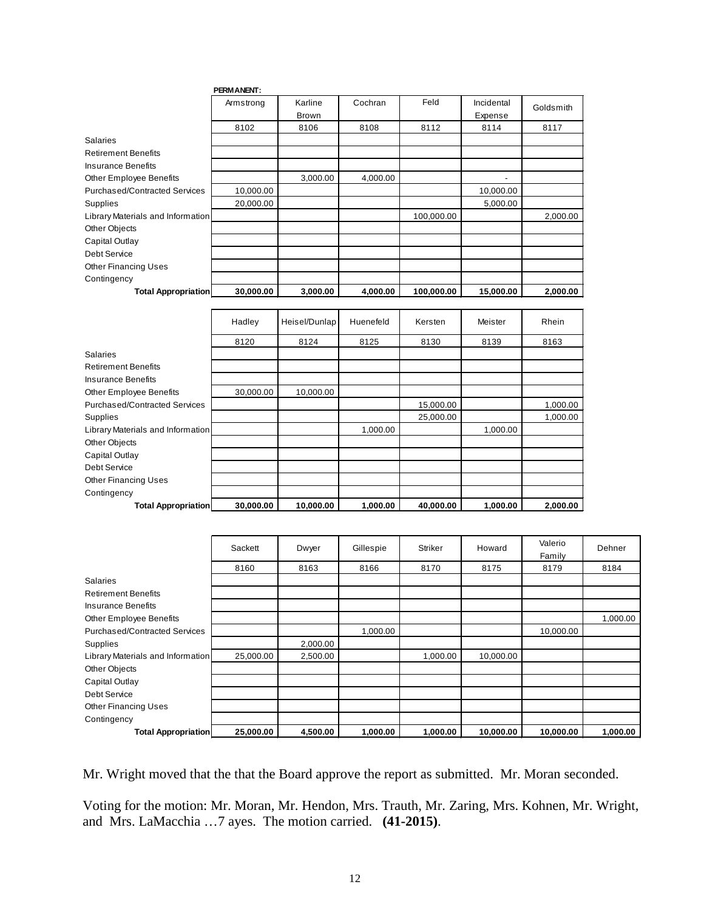|                                      | <b>PERMANENT:</b> |                         |           |            |                       |           |
|--------------------------------------|-------------------|-------------------------|-----------|------------|-----------------------|-----------|
|                                      | Armstrong         | Karline<br><b>Brown</b> | Cochran   | Feld       | Incidental<br>Expense | Goldsmith |
|                                      | 8102              | 8106                    | 8108      | 8112       | 8114                  | 8117      |
| Salaries                             |                   |                         |           |            |                       |           |
| <b>Retirement Benefits</b>           |                   |                         |           |            |                       |           |
| <b>Insurance Benefits</b>            |                   |                         |           |            |                       |           |
| <b>Other Employee Benefits</b>       |                   | 3,000.00                | 4,000.00  |            |                       |           |
| <b>Purchased/Contracted Services</b> | 10,000.00         |                         |           |            | 10,000.00             |           |
| Supplies                             | 20,000.00         |                         |           |            | 5,000.00              |           |
| Library Materials and Information    |                   |                         |           | 100,000.00 |                       | 2,000.00  |
| Other Objects                        |                   |                         |           |            |                       |           |
| Capital Outlay                       |                   |                         |           |            |                       |           |
| Debt Service                         |                   |                         |           |            |                       |           |
| <b>Other Financing Uses</b>          |                   |                         |           |            |                       |           |
| Contingency                          |                   |                         |           |            |                       |           |
| <b>Total Appropriation</b>           | 30,000.00         | 3,000.00                | 4,000.00  | 100,000.00 | 15,000.00             | 2,000.00  |
|                                      | Hadley            | Heisel/Dunlap           | Huenefeld | Kersten    | Meister               | Rhein     |
|                                      | 8120              | 8124                    | 8125      | 8130       | 8139                  | 8163      |
| Salaries                             |                   |                         |           |            |                       |           |
| <b>Retirement Benefits</b>           |                   |                         |           |            |                       |           |
| <b>Insurance Benefits</b>            |                   |                         |           |            |                       |           |
| Other Employee Benefits              | 30,000.00         | 10,000.00               |           |            |                       |           |
| <b>Purchased/Contracted Services</b> |                   |                         |           | 15,000.00  |                       | 1,000.00  |

Supplies 25,000.00 1,000.00

Library Materials and Information 1,000.00 1,000.00 1,000.00 1,000.00

Other Objects Capital Outlay Debt Service Other Financing Uses Contingency

|                                      | Sackett   | Dwyer    | Gillespie | <b>Striker</b> | Howard    | Valerio<br>Family | Dehner   |
|--------------------------------------|-----------|----------|-----------|----------------|-----------|-------------------|----------|
|                                      | 8160      | 8163     | 8166      | 8170           | 8175      | 8179              | 8184     |
| <b>Salaries</b>                      |           |          |           |                |           |                   |          |
| <b>Retirement Benefits</b>           |           |          |           |                |           |                   |          |
| <b>Insurance Benefits</b>            |           |          |           |                |           |                   |          |
| Other Employee Benefits              |           |          |           |                |           |                   | 1,000.00 |
| <b>Purchased/Contracted Services</b> |           |          | 1,000.00  |                |           | 10,000.00         |          |
| Supplies                             |           | 2,000.00 |           |                |           |                   |          |
| Library Materials and Information    | 25,000.00 | 2,500.00 |           | 1,000.00       | 10,000.00 |                   |          |
| Other Objects                        |           |          |           |                |           |                   |          |
| Capital Outlay                       |           |          |           |                |           |                   |          |
| Debt Service                         |           |          |           |                |           |                   |          |
| <b>Other Financing Uses</b>          |           |          |           |                |           |                   |          |
| Contingency                          |           |          |           |                |           |                   |          |
| <b>Total Appropriation</b>           | 25,000.00 | 4,500.00 | 1,000.00  | 1,000.00       | 10,000.00 | 10,000.00         | 1,000.00 |

**Total Appropriation 30,000.00 10,000.00 1,000.00 40,000.00 1,000.00 2,000.00**

Mr. Wright moved that the that the Board approve the report as submitted. Mr. Moran seconded.

Voting for the motion: Mr. Moran, Mr. Hendon, Mrs. Trauth, Mr. Zaring, Mrs. Kohnen, Mr. Wright, and Mrs. LaMacchia …7 ayes. The motion carried. **(41-2015)**.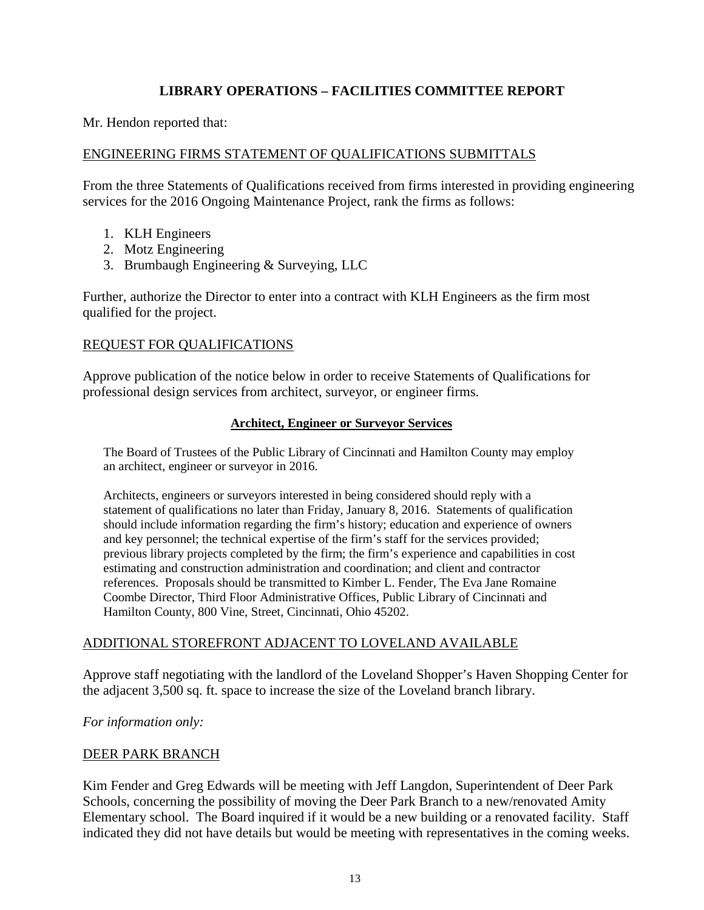## **LIBRARY OPERATIONS – FACILITIES COMMITTEE REPORT**

Mr. Hendon reported that:

### ENGINEERING FIRMS STATEMENT OF QUALIFICATIONS SUBMITTALS

From the three Statements of Qualifications received from firms interested in providing engineering services for the 2016 Ongoing Maintenance Project, rank the firms as follows:

- 1. KLH Engineers
- 2. Motz Engineering
- 3. Brumbaugh Engineering & Surveying, LLC

Further, authorize the Director to enter into a contract with KLH Engineers as the firm most qualified for the project.

### REQUEST FOR QUALIFICATIONS

Approve publication of the notice below in order to receive Statements of Qualifications for professional design services from architect, surveyor, or engineer firms.

#### **Architect, Engineer or Surveyor Services**

The Board of Trustees of the Public Library of Cincinnati and Hamilton County may employ an architect, engineer or surveyor in 2016.

Architects, engineers or surveyors interested in being considered should reply with a statement of qualifications no later than Friday, January 8, 2016. Statements of qualification should include information regarding the firm's history; education and experience of owners and key personnel; the technical expertise of the firm's staff for the services provided; previous library projects completed by the firm; the firm's experience and capabilities in cost estimating and construction administration and coordination; and client and contractor references. Proposals should be transmitted to Kimber L. Fender, The Eva Jane Romaine Coombe Director, Third Floor Administrative Offices, Public Library of Cincinnati and Hamilton County, 800 Vine, Street, Cincinnati, Ohio 45202.

### ADDITIONAL STOREFRONT ADJACENT TO LOVELAND AVAILABLE

Approve staff negotiating with the landlord of the Loveland Shopper's Haven Shopping Center for the adjacent 3,500 sq. ft. space to increase the size of the Loveland branch library.

*For information only:*

### DEER PARK BRANCH

Kim Fender and Greg Edwards will be meeting with Jeff Langdon, Superintendent of Deer Park Schools, concerning the possibility of moving the Deer Park Branch to a new/renovated Amity Elementary school. The Board inquired if it would be a new building or a renovated facility. Staff indicated they did not have details but would be meeting with representatives in the coming weeks.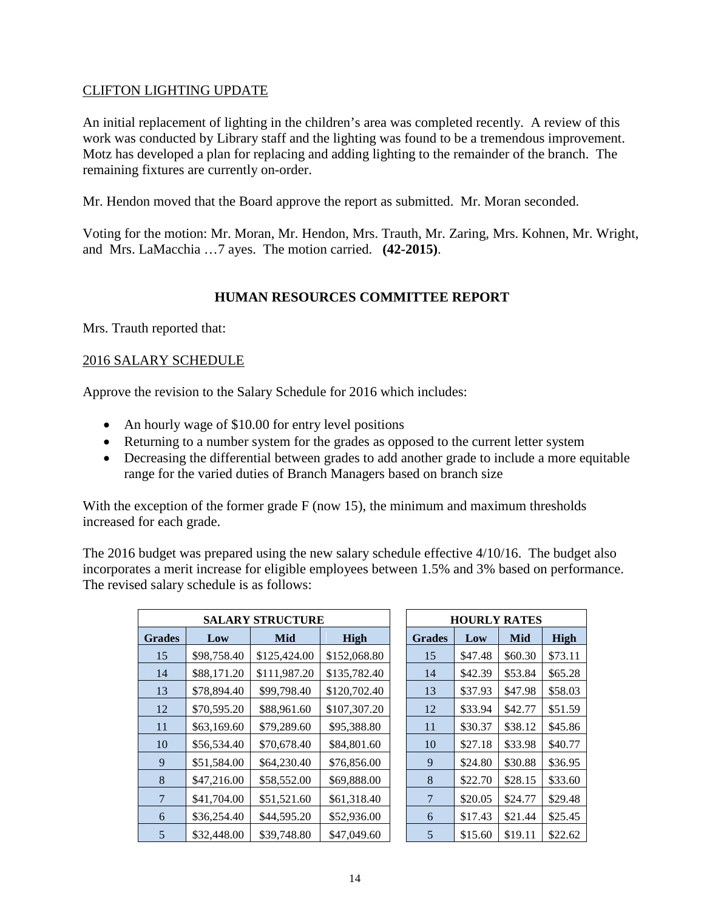### CLIFTON LIGHTING UPDATE

An initial replacement of lighting in the children's area was completed recently. A review of this work was conducted by Library staff and the lighting was found to be a tremendous improvement. Motz has developed a plan for replacing and adding lighting to the remainder of the branch. The remaining fixtures are currently on-order.

Mr. Hendon moved that the Board approve the report as submitted. Mr. Moran seconded.

Voting for the motion: Mr. Moran, Mr. Hendon, Mrs. Trauth, Mr. Zaring, Mrs. Kohnen, Mr. Wright, and Mrs. LaMacchia …7 ayes. The motion carried. **(42-2015)**.

## **HUMAN RESOURCES COMMITTEE REPORT**

Mrs. Trauth reported that:

### 2016 SALARY SCHEDULE

Approve the revision to the Salary Schedule for 2016 which includes:

- An hourly wage of \$10.00 for entry level positions
- Returning to a number system for the grades as opposed to the current letter system
- Decreasing the differential between grades to add another grade to include a more equitable range for the varied duties of Branch Managers based on branch size

With the exception of the former grade F (now 15), the minimum and maximum thresholds increased for each grade.

The 2016 budget was prepared using the new salary schedule effective 4/10/16. The budget also incorporates a merit increase for eligible employees between 1.5% and 3% based on performance. The revised salary schedule is as follows:

| <b>SALARY STRUCTURE</b> |             |              |              |               |         | <b>HOURLY RATES</b> |         |
|-------------------------|-------------|--------------|--------------|---------------|---------|---------------------|---------|
| <b>Grades</b>           | Low         | <b>Mid</b>   | High         | <b>Grades</b> | Low     | Mid                 | High    |
| 15                      | \$98,758.40 | \$125,424.00 | \$152,068.80 | 15            | \$47.48 | \$60.30             | \$73.11 |
| 14                      | \$88,171.20 | \$111,987.20 | \$135,782.40 | 14            | \$42.39 | \$53.84             | \$65.28 |
| 13                      | \$78,894.40 | \$99,798.40  | \$120,702.40 | 13            | \$37.93 | \$47.98             | \$58.03 |
| 12                      | \$70,595.20 | \$88,961.60  | \$107,307.20 | 12            | \$33.94 | \$42.77             | \$51.59 |
| 11                      | \$63,169.60 | \$79,289.60  | \$95,388.80  | 11            | \$30.37 | \$38.12             | \$45.86 |
| 10                      | \$56,534.40 | \$70,678.40  | \$84,801.60  | 10            | \$27.18 | \$33.98             | \$40.77 |
| 9                       | \$51,584.00 | \$64,230.40  | \$76,856.00  | 9             | \$24.80 | \$30.88             | \$36.95 |
| 8                       | \$47,216.00 | \$58,552.00  | \$69,888.00  | 8             | \$22.70 | \$28.15             | \$33.60 |
| 7                       | \$41,704.00 | \$51,521.60  | \$61,318.40  |               | \$20.05 | \$24.77             | \$29.48 |
| 6                       | \$36,254.40 | \$44,595.20  | \$52,936.00  | 6             | \$17.43 | \$21.44             | \$25.45 |
| 5                       | \$32,448.00 | \$39,748.80  | \$47,049.60  | 5             | \$15.60 | \$19.11             | \$22.62 |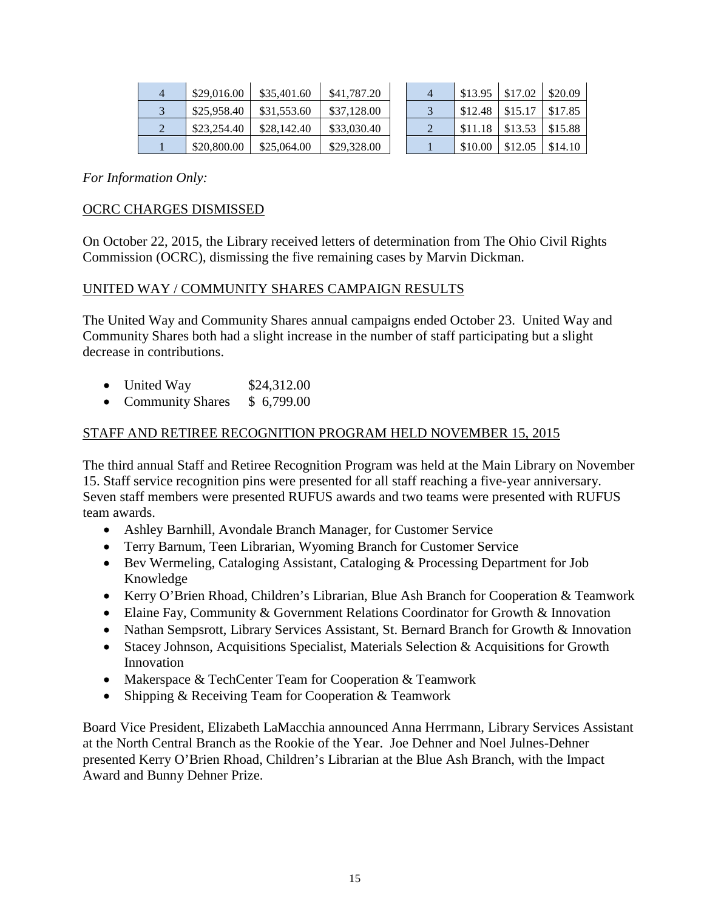| 4 | \$29,016.00 | \$35,401.60 | \$41,787.20 |  |         | $\vert$ \$13.95   \$17.02   \$20.09 |                       |
|---|-------------|-------------|-------------|--|---------|-------------------------------------|-----------------------|
|   | \$25,958.40 | \$31,553.60 | \$37,128.00 |  |         | $\frac{$12.48}{$15.17}{$17.85}$     |                       |
|   | \$23,254.40 | \$28,142.40 | \$33,030.40 |  |         | $\vert$ \$11.18   \$13.53   \$15.88 |                       |
|   | \$20,800.00 | \$25,064.00 | \$29,328.00 |  | \$10.00 | \$12.05                             | $\frac{1}{2}$ \$14.10 |

*For Information Only:*

### OCRC CHARGES DISMISSED

On October 22, 2015, the Library received letters of determination from The Ohio Civil Rights Commission (OCRC), dismissing the five remaining cases by Marvin Dickman.

### UNITED WAY / COMMUNITY SHARES CAMPAIGN RESULTS

The United Way and Community Shares annual campaigns ended October 23. United Way and Community Shares both had a slight increase in the number of staff participating but a slight decrease in contributions.

- United Way  $$24,312.00$
- Community Shares \$ 6,799.00

### STAFF AND RETIREE RECOGNITION PROGRAM HELD NOVEMBER 15, 2015

The third annual Staff and Retiree Recognition Program was held at the Main Library on November 15. Staff service recognition pins were presented for all staff reaching a five-year anniversary. Seven staff members were presented RUFUS awards and two teams were presented with RUFUS team awards.

- Ashley Barnhill, Avondale Branch Manager, for Customer Service
- Terry Barnum, Teen Librarian, Wyoming Branch for Customer Service
- Bev Wermeling, Cataloging Assistant, Cataloging & Processing Department for Job Knowledge
- Kerry O'Brien Rhoad, Children's Librarian, Blue Ash Branch for Cooperation & Teamwork
- Elaine Fay, Community & Government Relations Coordinator for Growth & Innovation
- Nathan Sempsrott, Library Services Assistant, St. Bernard Branch for Growth & Innovation
- Stacey Johnson, Acquisitions Specialist, Materials Selection & Acquisitions for Growth Innovation
- Makerspace & TechCenter Team for Cooperation & Teamwork
- Shipping & Receiving Team for Cooperation & Teamwork

Board Vice President, Elizabeth LaMacchia announced Anna Herrmann, Library Services Assistant at the North Central Branch as the Rookie of the Year. Joe Dehner and Noel Julnes-Dehner presented Kerry O'Brien Rhoad, Children's Librarian at the Blue Ash Branch, with the Impact Award and Bunny Dehner Prize.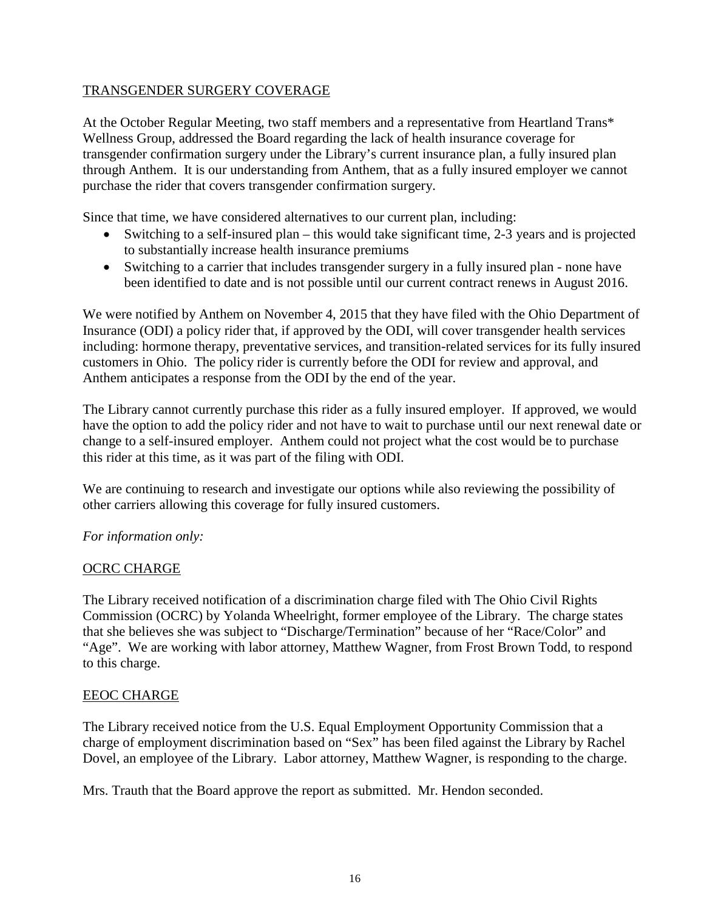### TRANSGENDER SURGERY COVERAGE

At the October Regular Meeting, two staff members and a representative from Heartland Trans\* Wellness Group, addressed the Board regarding the lack of health insurance coverage for transgender confirmation surgery under the Library's current insurance plan, a fully insured plan through Anthem. It is our understanding from Anthem, that as a fully insured employer we cannot purchase the rider that covers transgender confirmation surgery.

Since that time, we have considered alternatives to our current plan, including:

- Switching to a self-insured plan this would take significant time, 2-3 years and is projected to substantially increase health insurance premiums
- Switching to a carrier that includes transgender surgery in a fully insured plan none have been identified to date and is not possible until our current contract renews in August 2016.

We were notified by Anthem on November 4, 2015 that they have filed with the Ohio Department of Insurance (ODI) a policy rider that, if approved by the ODI, will cover transgender health services including: hormone therapy, preventative services, and transition-related services for its fully insured customers in Ohio. The policy rider is currently before the ODI for review and approval, and Anthem anticipates a response from the ODI by the end of the year.

The Library cannot currently purchase this rider as a fully insured employer. If approved, we would have the option to add the policy rider and not have to wait to purchase until our next renewal date or change to a self-insured employer. Anthem could not project what the cost would be to purchase this rider at this time, as it was part of the filing with ODI.

We are continuing to research and investigate our options while also reviewing the possibility of other carriers allowing this coverage for fully insured customers.

## *For information only:*

## OCRC CHARGE

The Library received notification of a discrimination charge filed with The Ohio Civil Rights Commission (OCRC) by Yolanda Wheelright, former employee of the Library. The charge states that she believes she was subject to "Discharge/Termination" because of her "Race/Color" and "Age". We are working with labor attorney, Matthew Wagner, from Frost Brown Todd, to respond to this charge.

### EEOC CHARGE

The Library received notice from the U.S. Equal Employment Opportunity Commission that a charge of employment discrimination based on "Sex" has been filed against the Library by Rachel Dovel, an employee of the Library. Labor attorney, Matthew Wagner, is responding to the charge.

Mrs. Trauth that the Board approve the report as submitted. Mr. Hendon seconded.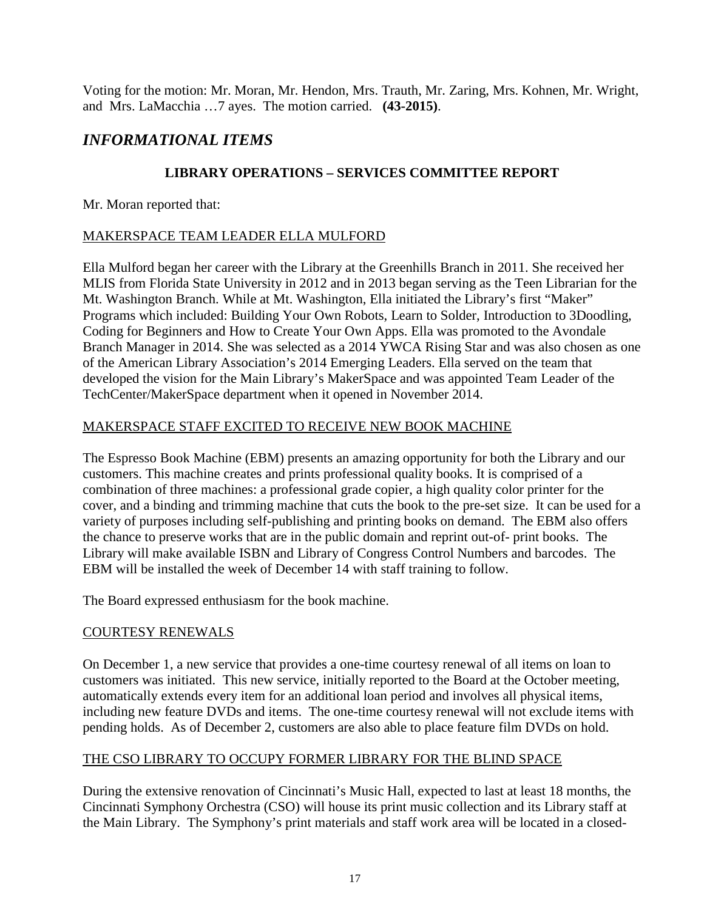Voting for the motion: Mr. Moran, Mr. Hendon, Mrs. Trauth, Mr. Zaring, Mrs. Kohnen, Mr. Wright, and Mrs. LaMacchia …7 ayes. The motion carried. **(43-2015)**.

# *INFORMATIONAL ITEMS*

## **LIBRARY OPERATIONS – SERVICES COMMITTEE REPORT**

Mr. Moran reported that:

## MAKERSPACE TEAM LEADER ELLA MULFORD

Ella Mulford began her career with the Library at the Greenhills Branch in 2011. She received her MLIS from Florida State University in 2012 and in 2013 began serving as the Teen Librarian for the Mt. Washington Branch. While at Mt. Washington, Ella initiated the Library's first "Maker" Programs which included: Building Your Own Robots, Learn to Solder, Introduction to 3Doodling, Coding for Beginners and How to Create Your Own Apps. Ella was promoted to the Avondale Branch Manager in 2014. She was selected as a 2014 YWCA Rising Star and was also chosen as one of the American Library Association's 2014 Emerging Leaders. Ella served on the team that developed the vision for the Main Library's MakerSpace and was appointed Team Leader of the TechCenter/MakerSpace department when it opened in November 2014.

## MAKERSPACE STAFF EXCITED TO RECEIVE NEW BOOK MACHINE

The Espresso Book Machine (EBM) presents an amazing opportunity for both the Library and our customers. This machine creates and prints professional quality books. It is comprised of a combination of three machines: a professional grade copier, a high quality color printer for the cover, and a binding and trimming machine that cuts the book to the pre-set size. It can be used for a variety of purposes including self-publishing and printing books on demand. The EBM also offers the chance to preserve works that are in the public domain and reprint out-of- print books. The Library will make available ISBN and Library of Congress Control Numbers and barcodes. The EBM will be installed the week of December 14 with staff training to follow.

The Board expressed enthusiasm for the book machine.

## COURTESY RENEWALS

On December 1, a new service that provides a one-time courtesy renewal of all items on loan to customers was initiated. This new service, initially reported to the Board at the October meeting, automatically extends every item for an additional loan period and involves all physical items, including new feature DVDs and items. The one-time courtesy renewal will not exclude items with pending holds. As of December 2, customers are also able to place feature film DVDs on hold.

## THE CSO LIBRARY TO OCCUPY FORMER LIBRARY FOR THE BLIND SPACE

During the extensive renovation of Cincinnati's Music Hall, expected to last at least 18 months, the Cincinnati Symphony Orchestra (CSO) will house its print music collection and its Library staff at the Main Library. The Symphony's print materials and staff work area will be located in a closed-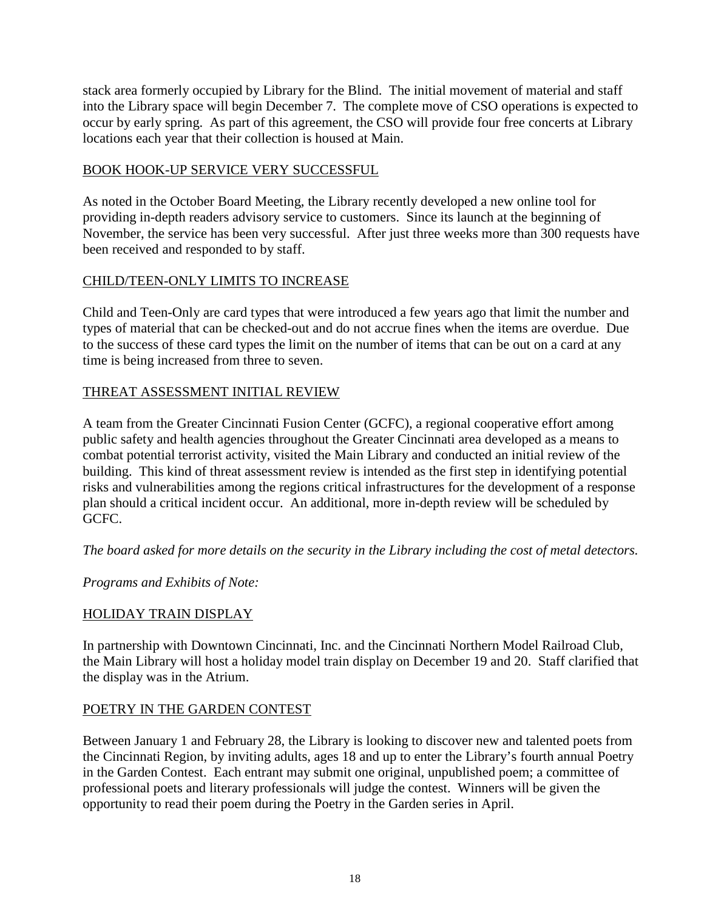stack area formerly occupied by Library for the Blind. The initial movement of material and staff into the Library space will begin December 7. The complete move of CSO operations is expected to occur by early spring. As part of this agreement, the CSO will provide four free concerts at Library locations each year that their collection is housed at Main.

## BOOK HOOK-UP SERVICE VERY SUCCESSFUL

As noted in the October Board Meeting, the Library recently developed a new online tool for providing in-depth readers advisory service to customers. Since its launch at the beginning of November, the service has been very successful. After just three weeks more than 300 requests have been received and responded to by staff.

## CHILD/TEEN-ONLY LIMITS TO INCREASE

Child and Teen-Only are card types that were introduced a few years ago that limit the number and types of material that can be checked-out and do not accrue fines when the items are overdue. Due to the success of these card types the limit on the number of items that can be out on a card at any time is being increased from three to seven.

## THREAT ASSESSMENT INITIAL REVIEW

A team from the Greater Cincinnati Fusion Center (GCFC), a regional cooperative effort among public safety and health agencies throughout the Greater Cincinnati area developed as a means to combat potential terrorist activity, visited the Main Library and conducted an initial review of the building. This kind of threat assessment review is intended as the first step in identifying potential risks and vulnerabilities among the regions critical infrastructures for the development of a response plan should a critical incident occur. An additional, more in-depth review will be scheduled by GCFC.

*The board asked for more details on the security in the Library including the cost of metal detectors.* 

*Programs and Exhibits of Note:*

## HOLIDAY TRAIN DISPLAY

In partnership with Downtown Cincinnati, Inc. and the Cincinnati Northern Model Railroad Club, the Main Library will host a holiday model train display on December 19 and 20. Staff clarified that the display was in the Atrium.

## POETRY IN THE GARDEN CONTEST

Between January 1 and February 28, the Library is looking to discover new and talented poets from the Cincinnati Region, by inviting adults, ages 18 and up to enter the Library's fourth annual Poetry in the Garden Contest. Each entrant may submit one original, unpublished poem; a committee of professional poets and literary professionals will judge the contest. Winners will be given the opportunity to read their poem during the Poetry in the Garden series in April.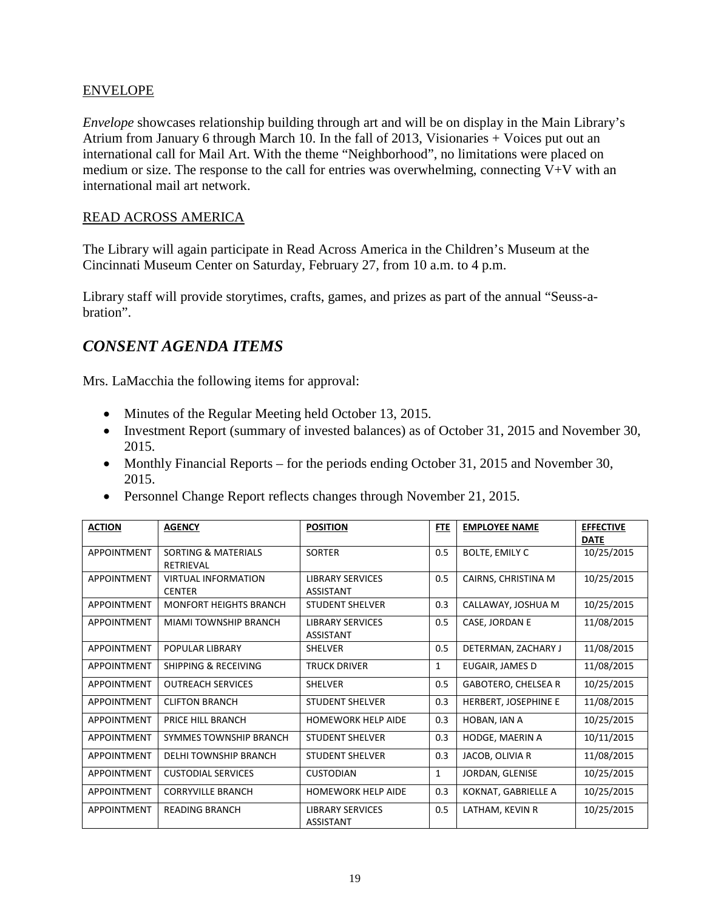### ENVELOPE

*Envelope* showcases relationship building through art and will be on display in the Main Library's Atrium from January 6 through March 10. In the fall of 2013, Visionaries + Voices put out an international call for Mail Art. With the theme "Neighborhood", no limitations were placed on medium or size. The response to the call for entries was overwhelming, connecting V+V with an international mail art network.

### READ ACROSS AMERICA

The Library will again participate in Read Across America in the Children's Museum at the Cincinnati Museum Center on Saturday, February 27, from 10 a.m. to 4 p.m.

Library staff will provide storytimes, crafts, games, and prizes as part of the annual "Seuss-abration".

# *CONSENT AGENDA ITEMS*

Mrs. LaMacchia the following items for approval:

- Minutes of the Regular Meeting held October 13, 2015.
- Investment Report (summary of invested balances) as of October 31, 2015 and November 30, 2015.
- Monthly Financial Reports for the periods ending October 31, 2015 and November 30, 2015.
- Personnel Change Report reflects changes through November 21, 2015.

| <b>ACTION</b>      | <b>AGENCY</b>                                      | <b>POSITION</b>                             | <b>FTE</b>   | <b>EMPLOYEE NAME</b>       | <b>EFFECTIVE</b><br><b>DATE</b> |
|--------------------|----------------------------------------------------|---------------------------------------------|--------------|----------------------------|---------------------------------|
| <b>APPOINTMENT</b> | <b>SORTING &amp; MATERIALS</b><br><b>RETRIEVAL</b> | <b>SORTER</b>                               | 0.5          | <b>BOLTE, EMILY C</b>      | 10/25/2015                      |
| <b>APPOINTMENT</b> | <b>VIRTUAL INFORMATION</b><br><b>CENTER</b>        | <b>LIBRARY SERVICES</b><br>ASSISTANT        | 0.5          | CAIRNS, CHRISTINA M        | 10/25/2015                      |
| <b>APPOINTMENT</b> | <b>MONFORT HEIGHTS BRANCH</b>                      | <b>STUDENT SHELVER</b>                      | 0.3          | CALLAWAY, JOSHUA M         | 10/25/2015                      |
| <b>APPOINTMENT</b> | MIAMI TOWNSHIP BRANCH                              | LIBRARY SERVICES<br>ASSISTANT               | 0.5          | CASE, JORDAN E             | 11/08/2015                      |
| <b>APPOINTMENT</b> | <b>POPULAR LIBRARY</b>                             | <b>SHELVER</b>                              | 0.5          | DETERMAN, ZACHARY J        | 11/08/2015                      |
| <b>APPOINTMENT</b> | SHIPPING & RECEIVING                               | <b>TRUCK DRIVER</b>                         | $\mathbf{1}$ | EUGAIR, JAMES D            | 11/08/2015                      |
| <b>APPOINTMENT</b> | <b>OUTREACH SERVICES</b>                           | <b>SHELVER</b>                              | 0.5          | <b>GABOTERO, CHELSEA R</b> | 10/25/2015                      |
| <b>APPOINTMENT</b> | <b>CLIFTON BRANCH</b>                              | <b>STUDENT SHELVER</b>                      | 0.3          | HERBERT, JOSEPHINE E       | 11/08/2015                      |
| <b>APPOINTMENT</b> | PRICE HILL BRANCH                                  | <b>HOMEWORK HELP AIDE</b>                   | 0.3          | HOBAN, IAN A               | 10/25/2015                      |
| <b>APPOINTMENT</b> | SYMMES TOWNSHIP BRANCH                             | <b>STUDENT SHELVER</b>                      | 0.3          | HODGE, MAERIN A            | 10/11/2015                      |
| <b>APPOINTMENT</b> | <b>DELHI TOWNSHIP BRANCH</b>                       | <b>STUDENT SHELVER</b>                      | 0.3          | JACOB, OLIVIA R            | 11/08/2015                      |
| <b>APPOINTMENT</b> | <b>CUSTODIAL SERVICES</b>                          | <b>CUSTODIAN</b>                            | $\mathbf{1}$ | JORDAN, GLENISE            | 10/25/2015                      |
| <b>APPOINTMENT</b> | <b>CORRYVILLE BRANCH</b>                           | <b>HOMEWORK HELP AIDE</b>                   | 0.3          | KOKNAT, GABRIELLE A        | 10/25/2015                      |
| <b>APPOINTMENT</b> | <b>READING BRANCH</b>                              | <b>LIBRARY SERVICES</b><br><b>ASSISTANT</b> | 0.5          | LATHAM, KEVIN R            | 10/25/2015                      |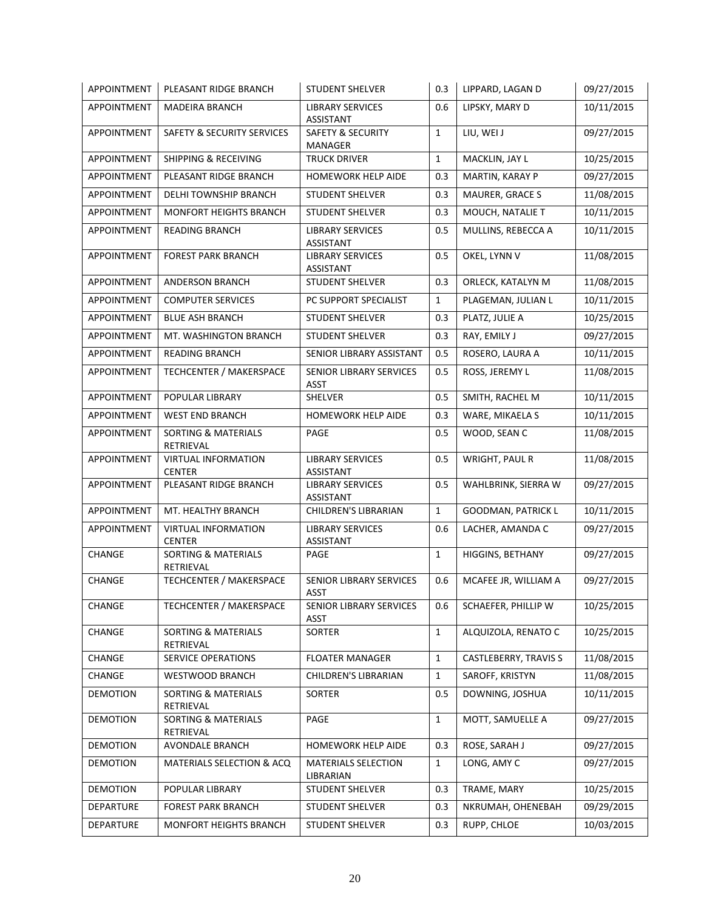| APPOINTMENT        | PLEASANT RIDGE BRANCH                       | <b>STUDENT SHELVER</b>                      | 0.3          | LIPPARD, LAGAN D             | 09/27/2015 |
|--------------------|---------------------------------------------|---------------------------------------------|--------------|------------------------------|------------|
| APPOINTMENT        | <b>MADEIRA BRANCH</b>                       | <b>LIBRARY SERVICES</b><br>ASSISTANT        | 0.6          | LIPSKY, MARY D               | 10/11/2015 |
| APPOINTMENT        | SAFETY & SECURITY SERVICES                  | <b>SAFETY &amp; SECURITY</b><br>MANAGER     | $\mathbf{1}$ | LIU, WEI J                   | 09/27/2015 |
| APPOINTMENT        | <b>SHIPPING &amp; RECEIVING</b>             | <b>TRUCK DRIVER</b>                         | $\mathbf{1}$ | MACKLIN, JAY L               | 10/25/2015 |
| APPOINTMENT        | PLEASANT RIDGE BRANCH                       | HOMEWORK HELP AIDE                          | 0.3          | MARTIN, KARAY P              | 09/27/2015 |
| <b>APPOINTMENT</b> | DELHI TOWNSHIP BRANCH                       | <b>STUDENT SHELVER</b>                      | 0.3          | MAURER, GRACE S              | 11/08/2015 |
| APPOINTMENT        | MONFORT HEIGHTS BRANCH                      | STUDENT SHELVER                             | 0.3          | MOUCH, NATALIE T             | 10/11/2015 |
| APPOINTMENT        | <b>READING BRANCH</b>                       | <b>LIBRARY SERVICES</b><br><b>ASSISTANT</b> | 0.5          | MULLINS, REBECCA A           | 10/11/2015 |
| APPOINTMENT        | <b>FOREST PARK BRANCH</b>                   | <b>LIBRARY SERVICES</b><br>ASSISTANT        | 0.5          | OKEL, LYNN V                 | 11/08/2015 |
| APPOINTMENT        | ANDERSON BRANCH                             | <b>STUDENT SHELVER</b>                      | 0.3          | ORLECK, KATALYN M            | 11/08/2015 |
| APPOINTMENT        | <b>COMPUTER SERVICES</b>                    | PC SUPPORT SPECIALIST                       | $\mathbf{1}$ | PLAGEMAN, JULIAN L           | 10/11/2015 |
| APPOINTMENT        | <b>BLUE ASH BRANCH</b>                      | STUDENT SHELVER                             | 0.3          | PLATZ, JULIE A               | 10/25/2015 |
| APPOINTMENT        | MT. WASHINGTON BRANCH                       | STUDENT SHELVER                             | 0.3          | RAY, EMILY J                 | 09/27/2015 |
| APPOINTMENT        | <b>READING BRANCH</b>                       | SENIOR LIBRARY ASSISTANT                    | 0.5          | ROSERO, LAURA A              | 10/11/2015 |
| APPOINTMENT        | TECHCENTER / MAKERSPACE                     | SENIOR LIBRARY SERVICES<br><b>ASST</b>      | 0.5          | ROSS, JEREMY L               | 11/08/2015 |
| APPOINTMENT        | POPULAR LIBRARY                             | SHELVER                                     | 0.5          | SMITH, RACHEL M              | 10/11/2015 |
| <b>APPOINTMENT</b> | <b>WEST END BRANCH</b>                      | <b>HOMEWORK HELP AIDE</b>                   | 0.3          | WARE, MIKAELA S              | 10/11/2015 |
| APPOINTMENT        | <b>SORTING &amp; MATERIALS</b><br>RETRIEVAL | PAGE                                        | 0.5          | WOOD, SEAN C                 | 11/08/2015 |
| APPOINTMENT        | <b>VIRTUAL INFORMATION</b><br><b>CENTER</b> | <b>LIBRARY SERVICES</b><br>ASSISTANT        | 0.5          | WRIGHT, PAUL R               | 11/08/2015 |
| APPOINTMENT        | PLEASANT RIDGE BRANCH                       | <b>LIBRARY SERVICES</b><br>ASSISTANT        | 0.5          | WAHLBRINK, SIERRA W          | 09/27/2015 |
| APPOINTMENT        | MT. HEALTHY BRANCH                          | CHILDREN'S LIBRARIAN                        | $\mathbf{1}$ | <b>GOODMAN, PATRICK L</b>    | 10/11/2015 |
| APPOINTMENT        | <b>VIRTUAL INFORMATION</b><br><b>CENTER</b> | <b>LIBRARY SERVICES</b><br>ASSISTANT        | 0.6          | LACHER, AMANDA C             | 09/27/2015 |
| CHANGE             | <b>SORTING &amp; MATERIALS</b><br>RETRIEVAL | PAGE                                        | $\mathbf{1}$ | HIGGINS, BETHANY             | 09/27/2015 |
| CHANGE             | TECHCENTER / MAKERSPACE                     | SENIOR LIBRARY SERVICES<br><b>ASST</b>      | 0.6          | MCAFEE JR, WILLIAM A         | 09/27/2015 |
| CHANGE             | <b>TECHCENTER / MAKERSPACE</b>              | SENIOR LIBRARY SERVICES<br><b>ASST</b>      | 0.6          | SCHAEFER, PHILLIP W          | 10/25/2015 |
| CHANGE             | <b>SORTING &amp; MATERIALS</b><br>RETRIEVAL | SORTER                                      | $\mathbf{1}$ | ALQUIZOLA, RENATO C          | 10/25/2015 |
| CHANGE             | <b>SERVICE OPERATIONS</b>                   | <b>FLOATER MANAGER</b>                      | $\mathbf{1}$ | <b>CASTLEBERRY, TRAVIS S</b> | 11/08/2015 |
| CHANGE             | WESTWOOD BRANCH                             | <b>CHILDREN'S LIBRARIAN</b>                 | $\mathbf{1}$ | SAROFF, KRISTYN              | 11/08/2015 |
| <b>DEMOTION</b>    | SORTING & MATERIALS<br>RETRIEVAL            | SORTER                                      | 0.5          | DOWNING, JOSHUA              | 10/11/2015 |
| <b>DEMOTION</b>    | SORTING & MATERIALS<br>RETRIEVAL            | PAGE                                        | $\mathbf{1}$ | MOTT, SAMUELLE A             | 09/27/2015 |
| <b>DEMOTION</b>    | AVONDALE BRANCH                             | <b>HOMEWORK HELP AIDE</b>                   | 0.3          | ROSE, SARAH J                | 09/27/2015 |
| <b>DEMOTION</b>    | MATERIALS SELECTION & ACQ                   | <b>MATERIALS SELECTION</b><br>LIBRARIAN     | $\mathbf{1}$ | LONG, AMY C                  | 09/27/2015 |
| <b>DEMOTION</b>    | POPULAR LIBRARY                             | STUDENT SHELVER                             | 0.3          | TRAME, MARY                  | 10/25/2015 |
| DEPARTURE          | <b>FOREST PARK BRANCH</b>                   | <b>STUDENT SHELVER</b>                      | 0.3          | NKRUMAH, OHENEBAH            | 09/29/2015 |
| DEPARTURE          | MONFORT HEIGHTS BRANCH                      | STUDENT SHELVER                             | 0.3          | RUPP, CHLOE                  | 10/03/2015 |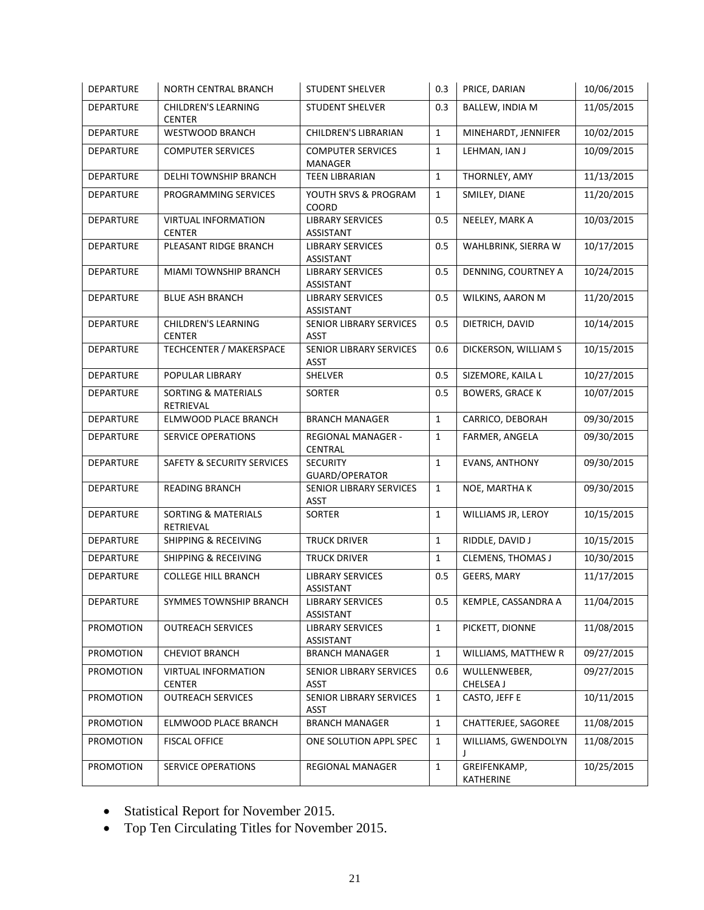| DEPARTURE        | <b>NORTH CENTRAL BRANCH</b>                 | STUDENT SHELVER                               | 0.3          | PRICE, DARIAN             | 10/06/2015 |
|------------------|---------------------------------------------|-----------------------------------------------|--------------|---------------------------|------------|
| DEPARTURE        | <b>CHILDREN'S LEARNING</b><br><b>CENTER</b> | STUDENT SHELVER                               | 0.3          | <b>BALLEW, INDIA M</b>    | 11/05/2015 |
| <b>DEPARTURE</b> | <b>WESTWOOD BRANCH</b>                      | <b>CHILDREN'S LIBRARIAN</b>                   | $\mathbf{1}$ | MINEHARDT, JENNIFER       | 10/02/2015 |
| <b>DEPARTURE</b> | <b>COMPUTER SERVICES</b>                    | <b>COMPUTER SERVICES</b><br>MANAGER           | $\mathbf{1}$ | LEHMAN, IAN J             | 10/09/2015 |
| DEPARTURE        | DELHI TOWNSHIP BRANCH                       | <b>TEEN LIBRARIAN</b>                         | $\mathbf{1}$ | THORNLEY, AMY             | 11/13/2015 |
| <b>DEPARTURE</b> | PROGRAMMING SERVICES                        | YOUTH SRVS & PROGRAM<br>COORD                 | $\mathbf{1}$ | SMILEY, DIANE             | 11/20/2015 |
| <b>DEPARTURE</b> | <b>VIRTUAL INFORMATION</b><br><b>CENTER</b> | <b>LIBRARY SERVICES</b><br>ASSISTANT          | 0.5          | NEELEY, MARK A            | 10/03/2015 |
| <b>DEPARTURE</b> | PLEASANT RIDGE BRANCH                       | <b>LIBRARY SERVICES</b><br>ASSISTANT          | 0.5          | WAHLBRINK, SIERRA W       | 10/17/2015 |
| <b>DEPARTURE</b> | MIAMI TOWNSHIP BRANCH                       | <b>LIBRARY SERVICES</b><br><b>ASSISTANT</b>   | 0.5          | DENNING, COURTNEY A       | 10/24/2015 |
| <b>DEPARTURE</b> | <b>BLUE ASH BRANCH</b>                      | <b>LIBRARY SERVICES</b><br>ASSISTANT          | 0.5          | WILKINS, AARON M          | 11/20/2015 |
| DEPARTURE        | <b>CHILDREN'S LEARNING</b><br><b>CENTER</b> | SENIOR LIBRARY SERVICES<br><b>ASST</b>        | 0.5          | DIETRICH, DAVID           | 10/14/2015 |
| <b>DEPARTURE</b> | TECHCENTER / MAKERSPACE                     | <b>SENIOR LIBRARY SERVICES</b><br><b>ASST</b> | 0.6          | DICKERSON, WILLIAM S      | 10/15/2015 |
| <b>DEPARTURE</b> | POPULAR LIBRARY                             | SHELVER                                       | 0.5          | SIZEMORE, KAILA L         | 10/27/2015 |
| <b>DEPARTURE</b> | <b>SORTING &amp; MATERIALS</b><br>RETRIEVAL | SORTER                                        | 0.5          | <b>BOWERS, GRACE K</b>    | 10/07/2015 |
| DEPARTURE        | ELMWOOD PLACE BRANCH                        | <b>BRANCH MANAGER</b>                         | $\mathbf{1}$ | CARRICO, DEBORAH          | 09/30/2015 |
| <b>DEPARTURE</b> | SERVICE OPERATIONS                          | <b>REGIONAL MANAGER -</b><br>CENTRAL          | $\mathbf{1}$ | FARMER, ANGELA            | 09/30/2015 |
| DEPARTURE        | <b>SAFETY &amp; SECURITY SERVICES</b>       | <b>SECURITY</b><br>GUARD/OPERATOR             | $\mathbf{1}$ | <b>EVANS, ANTHONY</b>     | 09/30/2015 |
| <b>DEPARTURE</b> | <b>READING BRANCH</b>                       | SENIOR LIBRARY SERVICES<br><b>ASST</b>        | $\mathbf{1}$ | NOE, MARTHA K             | 09/30/2015 |
| DEPARTURE        | <b>SORTING &amp; MATERIALS</b><br>RETRIEVAL | SORTER                                        | $\mathbf{1}$ | WILLIAMS JR, LEROY        | 10/15/2015 |
| <b>DEPARTURE</b> | <b>SHIPPING &amp; RECEIVING</b>             | <b>TRUCK DRIVER</b>                           | $\mathbf{1}$ | RIDDLE, DAVID J           | 10/15/2015 |
| <b>DEPARTURE</b> | <b>SHIPPING &amp; RECEIVING</b>             | <b>TRUCK DRIVER</b>                           | $\mathbf{1}$ | CLEMENS, THOMAS J         | 10/30/2015 |
| DEPARTURE        | <b>COLLEGE HILL BRANCH</b>                  | <b>LIBRARY SERVICES</b><br><b>ASSISTANT</b>   | 0.5          | <b>GEERS, MARY</b>        | 11/17/2015 |
| DEPARTURE        | SYMMES TOWNSHIP BRANCH                      | <b>LIBRARY SERVICES</b><br>ASSISTANT          | 0.5          | KEMPLE, CASSANDRA A       | 11/04/2015 |
| <b>PROMOTION</b> | <b>OUTREACH SERVICES</b>                    | <b>LIBRARY SERVICES</b><br>ASSISTANT          | $\mathbf 1$  | PICKETT, DIONNE           | 11/08/2015 |
| <b>PROMOTION</b> | <b>CHEVIOT BRANCH</b>                       | <b>BRANCH MANAGER</b>                         | 1            | WILLIAMS, MATTHEW R       | 09/27/2015 |
| <b>PROMOTION</b> | <b>VIRTUAL INFORMATION</b><br><b>CENTER</b> | SENIOR LIBRARY SERVICES<br>ASST               | 0.6          | WULLENWEBER.<br>CHELSEA J | 09/27/2015 |
| <b>PROMOTION</b> | <b>OUTREACH SERVICES</b>                    | SENIOR LIBRARY SERVICES<br>ASST               | $\mathbf{1}$ | CASTO, JEFF E             | 10/11/2015 |
| <b>PROMOTION</b> | ELMWOOD PLACE BRANCH                        | <b>BRANCH MANAGER</b>                         | $\mathbf{1}$ | CHATTERJEE, SAGOREE       | 11/08/2015 |
| <b>PROMOTION</b> | <b>FISCAL OFFICE</b>                        | ONE SOLUTION APPL SPEC                        | $\mathbf{1}$ | WILLIAMS, GWENDOLYN<br>J  | 11/08/2015 |
| <b>PROMOTION</b> | <b>SERVICE OPERATIONS</b>                   | REGIONAL MANAGER                              | $\mathbf{1}$ | GREIFENKAMP,<br>KATHERINE | 10/25/2015 |

- Statistical Report for November 2015.
- Top Ten Circulating Titles for November 2015.